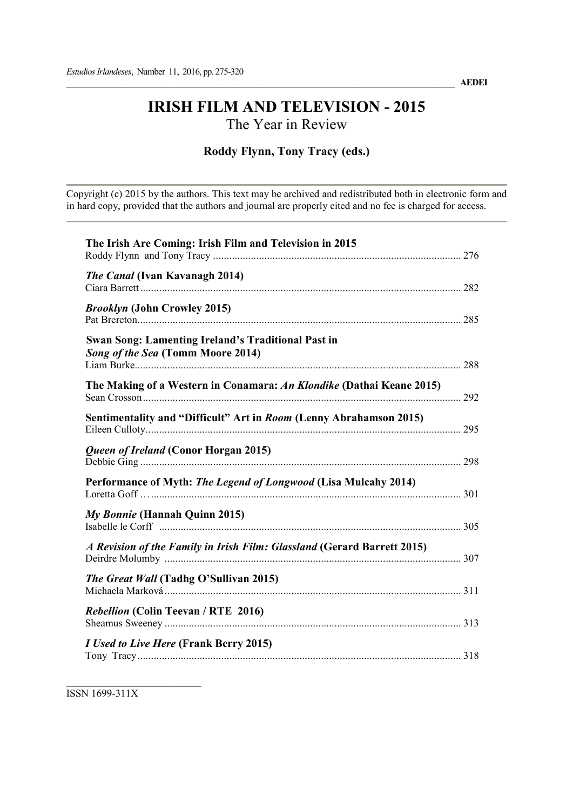# IRISH FILM AND TELEVISION - 2015 The Year in Review

## Roddy Flynn, Tony Tracy (eds.)

Copyright (c) 2015 by the authors. This text may be archived and redistributed both in electronic form and in hard copy, provided that the authors and journal are properly cited and no fee is charged for access.

| The Irish Are Coming: Irish Film and Television in 2015                                        |  |
|------------------------------------------------------------------------------------------------|--|
| The Canal (Ivan Kavanagh 2014)                                                                 |  |
| <b>Brooklyn (John Crowley 2015)</b>                                                            |  |
| <b>Swan Song: Lamenting Ireland's Traditional Past in</b><br>Song of the Sea (Tomm Moore 2014) |  |
| The Making of a Western in Conamara: An Klondike (Dathai Keane 2015)                           |  |
| Sentimentality and "Difficult" Art in Room (Lenny Abrahamson 2015)                             |  |
| Queen of Ireland (Conor Horgan 2015)                                                           |  |
| Performance of Myth: The Legend of Longwood (Lisa Mulcahy 2014)                                |  |
| My Bonnie (Hannah Quinn 2015)                                                                  |  |
| A Revision of the Family in Irish Film: Glassland (Gerard Barrett 2015)                        |  |
| The Great Wall (Tadhg O'Sullivan 2015)                                                         |  |
| <b>Rebellion (Colin Teevan / RTE 2016)</b>                                                     |  |
| <i>I Used to Live Here</i> (Frank Berry 2015)                                                  |  |

ISSN 1699-311X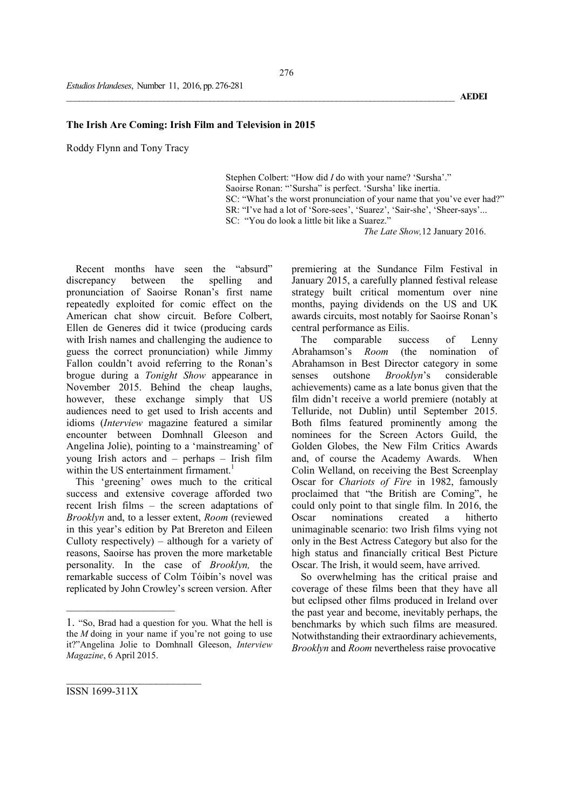## The Irish Are Coming: Irish Film and Television in 2015

Roddy Flynn and Tony Tracy

Stephen Colbert: "How did *I* do with your name? 'Sursha'." Saoirse Ronan: "'Sursha" is perfect. 'Sursha' like inertia. SC: "What's the worst pronunciation of your name that you've ever had?" SR: "I've had a lot of 'Sore-sees', 'Suarez', 'Sair-she', 'Sheer-says'... SC: "You do look a little bit like a Suarez."

 *The Late Show,*12 January 2016.

Recent months have seen the "absurd" discrepancy between the spelling and pronunciation of Saoirse Ronan's first name repeatedly exploited for comic effect on the American chat show circuit. Before Colbert, Ellen de Generes did it twice (producing cards with Irish names and challenging the audience to guess the correct pronunciation) while Jimmy Fallon couldn't avoid referring to the Ronan's brogue during a *Tonight Show* appearance in November 2015. Behind the cheap laughs, however, these exchange simply that US audiences need to get used to Irish accents and idioms (*Interview* magazine featured a similar encounter between Domhnall Gleeson and Angelina Jolie), pointing to a 'mainstreaming' of young Irish actors and – perhaps – Irish film within the US entertainment firmament.<sup>1</sup>

This 'greening' owes much to the critical success and extensive coverage afforded two recent Irish films – the screen adaptations of *Brooklyn* and, to a lesser extent, *Room* (reviewed in this year's edition by Pat Brereton and Eileen Culloty respectively) – although for a variety of reasons, Saoirse has proven the more marketable personality. In the case of *Brooklyn,* the remarkable success of Colm Tóibín's novel was replicated by John Crowley's screen version. After

premiering at the Sundance Film Festival in January 2015, a carefully planned festival release strategy built critical momentum over nine months, paying dividends on the US and UK awards circuits, most notably for Saoirse Ronan's central performance as Eilis.

The comparable success of Lenny Abrahamson's *Room* (the nomination of Abrahamson in Best Director category in some senses outshone *Brooklyn*'s considerable achievements) came as a late bonus given that the film didn't receive a world premiere (notably at Telluride, not Dublin) until September 2015. Both films featured prominently among the nominees for the Screen Actors Guild, the Golden Globes, the New Film Critics Awards and, of course the Academy Awards. When Colin Welland, on receiving the Best Screenplay Oscar for *Chariots of Fire* in 1982, famously proclaimed that "the British are Coming", he could only point to that single film. In 2016, the<br>Oscar nominations created a hitherto Oscar nominations created a hitherto unimaginable scenario: two Irish films vying not only in the Best Actress Category but also for the high status and financially critical Best Picture Oscar. The Irish, it would seem, have arrived.

So overwhelming has the critical praise and coverage of these films been that they have all but eclipsed other films produced in Ireland over the past year and become, inevitably perhaps, the benchmarks by which such films are measured. Notwithstanding their extraordinary achievements, *Brooklyn* and *Room* nevertheless raise provocative

ISSN 1699-311X

 $\mathcal{L}$  , we have the set of the set of the set of the set of the set of the set of the set of the set of the set of the set of the set of the set of the set of the set of the set of the set of the set of the set of the

<sup>1. &</sup>quot;So, Brad had a question for you. What the hell is the *M* doing in your name if you're not going to use it?"Angelina Jolie to Domhnall Gleeson, *Interview Magazine*, 6 April 2015.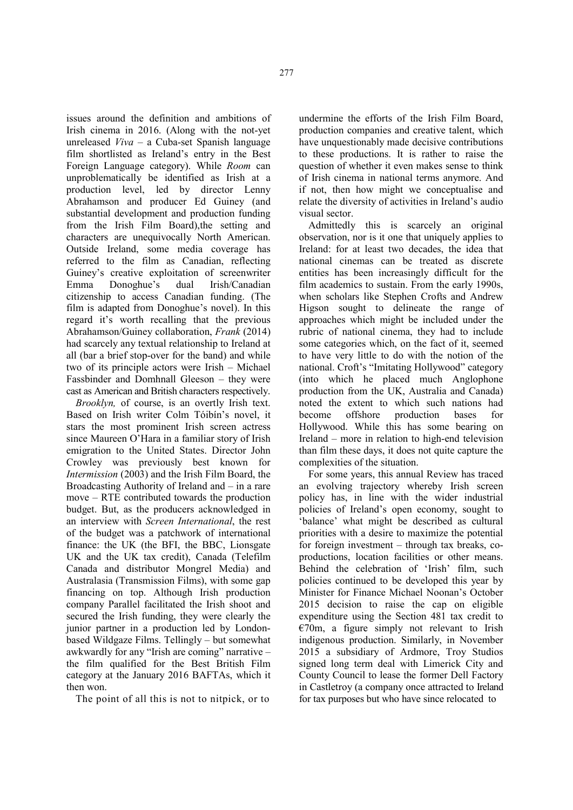issues around the definition and ambitions of Irish cinema in 2016. (Along with the not-yet unreleased *Viva* – a Cuba-set Spanish language film shortlisted as Ireland's entry in the Best Foreign Language category). While *Room* can unproblematically be identified as Irish at a production level, led by director Lenny Abrahamson and producer Ed Guiney (and substantial development and production funding from the Irish Film Board),the setting and characters are unequivocally North American. Outside Ireland, some media coverage has referred to the film as Canadian, reflecting Guiney's creative exploitation of screenwriter Emma Donoghue's dual Irish/Canadian citizenship to access Canadian funding. (The film is adapted from Donoghue's novel). In this regard it's worth recalling that the previous Abrahamson/Guiney collaboration, *Frank* (2014) had scarcely any textual relationship to Ireland at all (bar a brief stop-over for the band) and while two of its principle actors were Irish – Michael Fassbinder and Domhnall Gleeson – they were cast as American and British characters respectively.

*Brooklyn,* of course, is an overtly Irish text. Based on Irish writer Colm Tóibín's novel, it stars the most prominent Irish screen actress since Maureen O'Hara in a familiar story of Irish emigration to the United States. Director John Crowley was previously best known for *Intermission* (2003) and the Irish Film Board, the Broadcasting Authority of Ireland and – in a rare move – RTE contributed towards the production budget. But, as the producers acknowledged in an interview with *Screen International*, the rest of the budget was a patchwork of international finance: the UK (the BFI, the BBC, Lionsgate UK and the UK tax credit), Canada (Telefilm Canada and distributor Mongrel Media) and Australasia (Transmission Films), with some gap financing on top. Although Irish production company Parallel facilitated the Irish shoot and secured the Irish funding, they were clearly the junior partner in a production led by Londonbased Wildgaze Films. Tellingly – but somewhat awkwardly for any "Irish are coming" narrative – the film qualified for the Best British Film category at the January 2016 BAFTAs, which it then won.

The point of all this is not to nitpick, or to

undermine the efforts of the Irish Film Board, production companies and creative talent, which have unquestionably made decisive contributions to these productions. It is rather to raise the question of whether it even makes sense to think of Irish cinema in national terms anymore. And if not, then how might we conceptualise and relate the diversity of activities in Ireland's audio visual sector.

Admittedly this is scarcely an original observation, nor is it one that uniquely applies to Ireland: for at least two decades, the idea that national cinemas can be treated as discrete entities has been increasingly difficult for the film academics to sustain. From the early 1990s, when scholars like Stephen Crofts and Andrew Higson sought to delineate the range of approaches which might be included under the rubric of national cinema, they had to include some categories which, on the fact of it, seemed to have very little to do with the notion of the national. Croft's "Imitating Hollywood" category (into which he placed much Anglophone production from the UK, Australia and Canada) noted the extent to which such nations had become offshore production bases for Hollywood. While this has some bearing on Ireland – more in relation to high-end television than film these days, it does not quite capture the complexities of the situation.

For some years, this annual Review has traced an evolving trajectory whereby Irish screen policy has, in line with the wider industrial policies of Ireland's open economy, sought to 'balance' what might be described as cultural priorities with a desire to maximize the potential for foreign investment – through tax breaks, coproductions, location facilities or other means. Behind the celebration of 'Irish' film, such policies continued to be developed this year by Minister for Finance Michael Noonan's October 2015 decision to raise the cap on eligible expenditure using the Section 481 tax credit to  $E70m$ , a figure simply not relevant to Irish indigenous production. Similarly, in November 2015 a subsidiary of Ardmore, Troy Studios signed long term deal with Limerick City and County Council to lease the former Dell Factory in Castletroy (a company once attracted to Ireland for tax purposes but who have since relocated to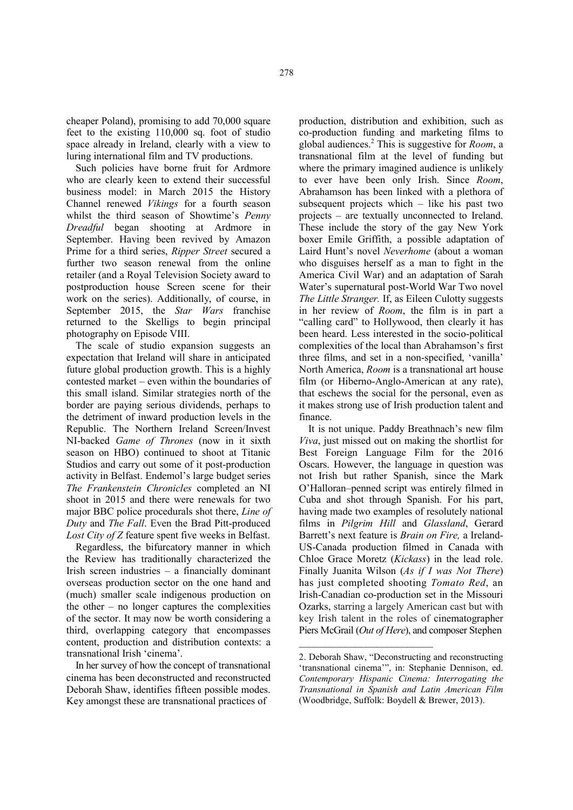cheaper Poland), promising to add 70,000 square feet to the existing 110,000 sq. foot of studio space already in Ireland, clearly with a view to luring international film and TV productions.

Such policies have borne fruit for Ardmore who are clearly keen to extend their successful business model: in March 2015 the History Channel renewed *Vikings* for a fourth season whilst the third season of Showtime's *Penny Dreadful* began shooting at Ardmore in September. Having been revived by Amazon Prime for a third series, *Ripper Street* secured a further two season renewal from the online retailer (and a Royal Television Society award to postproduction house Screen scene for their work on the series). Additionally, of course, in September 2015, the *Star Wars* franchise returned to the Skelligs to begin principal photography on Episode VIII.

The scale of studio expansion suggests an expectation that Ireland will share in anticipated future global production growth. This is a highly contested market – even within the boundaries of this small island. Similar strategies north of the border are paying serious dividends, perhaps to the detriment of inward production levels in the Republic. The Northern Ireland Screen/Invest NI-backed *Game of Thrones* (now in it sixth season on HBO) continued to shoot at Titanic Studios and carry out some of it post-production activity in Belfast. Endemol's large budget series *The Frankenstein Chronicles* completed an NI shoot in 2015 and there were renewals for two major BBC police procedurals shot there, *Line of Duty* and *The Fall*. Even the Brad Pitt-produced *Lost City of Z* feature spent five weeks in Belfast.

Regardless, the bifurcatory manner in which the Review has traditionally characterized the Irish screen industries – a financially dominant overseas production sector on the one hand and (much) smaller scale indigenous production on the other – no longer captures the complexities of the sector. It may now be worth considering a third, overlapping category that encompasses content, production and distribution contexts: a transnational Irish 'cinema'.

In her survey of how the concept of transnational cinema has been deconstructed and reconstructed Deborah Shaw, identifies fifteen possible modes. Key amongst these are transnational practices of

production, distribution and exhibition, such as co-production funding and marketing films to global audiences.<sup>2</sup> This is suggestive for *Room*, a transnational film at the level of funding but where the primary imagined audience is unlikely to ever have been only Irish. Since *Room*, Abrahamson has been linked with a plethora of subsequent projects which – like his past two projects – are textually unconnected to Ireland. These include the story of the gay New York boxer Emile Griffith, a possible adaptation of Laird Hunt's novel *Neverhome* (about a woman who disguises herself as a man to fight in the America Civil War) and an adaptation of Sarah Water's supernatural post-World War Two novel *The Little Stranger.* If, as Eileen Culotty suggests in her review of *Room*, the film is in part a "calling card" to Hollywood, then clearly it has been heard. Less interested in the socio-political complexities of the local than Abrahamson's first three films, and set in a non-specified, 'vanilla' North America, *Room* is a transnational art house film (or Hiberno-Anglo-American at any rate), that eschews the social for the personal, even as it makes strong use of Irish production talent and finance.

It is not unique. Paddy Breathnach's new film *Viva*, just missed out on making the shortlist for Best Foreign Language Film for the 2016 Oscars. However, the language in question was not Irish but rather Spanish, since the Mark O'Halloran–penned script was entirely filmed in Cuba and shot through Spanish. For his part, having made two examples of resolutely national films in *Pilgrim Hill* and *Glassland*, Gerard Barrett's next feature is *Brain on Fire,* a Ireland-US-Canada production filmed in Canada with Chloe Grace Moretz (*Kickass*) in the lead role. Finally Juanita Wilson (*As if I was Not There*) has just completed shooting *Tomato Red*, an Irish-Canadian co-production set in the Missouri Ozarks, starring a largely American cast but with key Irish talent in the roles of cinematographer Piers McGrail (*Out of Here*), and composer Stephen

 $\mathcal{L}$  , we can also the contribution of the contribution of  $\mathcal{L}$ 

<sup>2.</sup> Deborah Shaw, "Deconstructing and reconstructing 'transnational cinema'", in: Stephanie Dennison, ed. *Contemporary Hispanic Cinema: Interrogating the Transnational in Spanish and Latin American Film* (Woodbridge, Suffolk: Boydell & Brewer, 2013).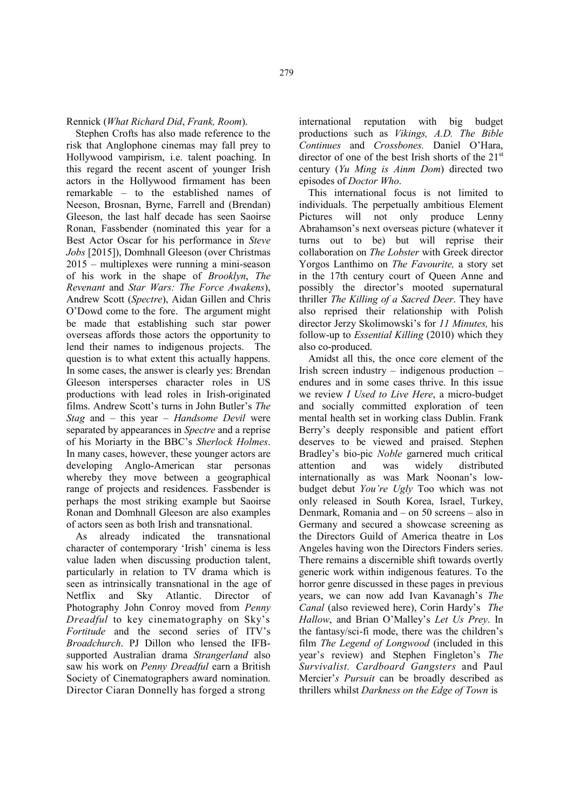Rennick (*What Richard Did*, *Frank, Room*).

Stephen Crofts has also made reference to the risk that Anglophone cinemas may fall prey to Hollywood vampirism, i.e. talent poaching. In this regard the recent ascent of younger Irish actors in the Hollywood firmament has been remarkable – to the established names of Neeson, Brosnan, Byrne, Farrell and (Brendan) Gleeson, the last half decade has seen Saoirse Ronan, Fassbender (nominated this year for a Best Actor Oscar for his performance in *Steve Jobs* [2015]), Domhnall Gleeson (over Christmas 2015 – multiplexes were running a mini-season of his work in the shape of *Brooklyn*, *The Revenant* and *Star Wars: The Force Awakens*), Andrew Scott (*Spectre*), Aidan Gillen and Chris O'Dowd come to the fore. The argument might be made that establishing such star power overseas affords those actors the opportunity to lend their names to indigenous projects. The question is to what extent this actually happens. In some cases, the answer is clearly yes: Brendan Gleeson intersperses character roles in US productions with lead roles in Irish-originated films. Andrew Scott's turns in John Butler's *The Stag* and – this year – *Handsome Devil* were separated by appearances in *Spectre* and a reprise of his Moriarty in the BBC's *Sherlock Holmes*. In many cases, however, these younger actors are developing Anglo-American star personas whereby they move between a geographical range of projects and residences. Fassbender is perhaps the most striking example but Saoirse Ronan and Domhnall Gleeson are also examples of actors seen as both Irish and transnational.

As already indicated the transnational character of contemporary 'Irish' cinema is less value laden when discussing production talent, particularly in relation to TV drama which is seen as intrinsically transnational in the age of Netflix and Sky Atlantic. Director of Photography John Conroy moved from *Penny Dreadful* to key cinematography on Sky's *Fortitude* and the second series of ITV's *Broadchurch*. PJ Dillon who lensed the IFBsupported Australian drama *Strangerland* also saw his work on *Penny Dreadful* earn a British Society of Cinematographers award nomination. Director Ciaran Donnelly has forged a strong

international reputation with big budget productions such as *Vikings, A.D. The Bible Continues* and *Crossbones.* Daniel O'Hara, director of one of the best Irish shorts of the  $21<sup>st</sup>$ century (*Yu Ming is Ainm Dom*) directed two episodes of *Doctor Who*.

This international focus is not limited to individuals. The perpetually ambitious Element Pictures will not only produce Lenny Abrahamson's next overseas picture (whatever it turns out to be) but will reprise their collaboration on *The Lobster* with Greek director Yorgos Lanthimo on *The Favourite,* a story set in the 17th century court of Queen Anne and possibly the director's mooted supernatural thriller *The Killing of a Sacred Deer*. They have also reprised their relationship with Polish director Jerzy Skolimowski's for *11 Minutes,* his follow-up to *Essential Killing* (2010) which they also co-produced.

Amidst all this, the once core element of the Irish screen industry – indigenous production – endures and in some cases thrive. In this issue we review *I Used to Live Here*, a micro-budget and socially committed exploration of teen mental health set in working class Dublin. Frank Berry's deeply responsible and patient effort deserves to be viewed and praised. Stephen Bradley's bio-pic *Noble* garnered much critical attention and was widely distributed internationally as was Mark Noonan's lowbudget debut *You're Ugly* Too which was not only released in South Korea, Israel, Turkey, Denmark, Romania and – on 50 screens – also in Germany and secured a showcase screening as the Directors Guild of America theatre in Los Angeles having won the Directors Finders series. There remains a discernible shift towards overtly generic work within indigenous features. To the horror genre discussed in these pages in previous years, we can now add Ivan Kavanagh's *The Canal* (also reviewed here), Corin Hardy's *The Hallow*, and Brian O'Malley's *Let Us Prey*. In the fantasy/sci-fi mode, there was the children's film *The Legend of Longwood* (included in this year's review) and Stephen Fingleton's *The Survivalist. Cardboard Gangsters* and Paul Mercier'*s Pursuit* can be broadly described as thrillers whilst *Darkness on the Edge of Town* is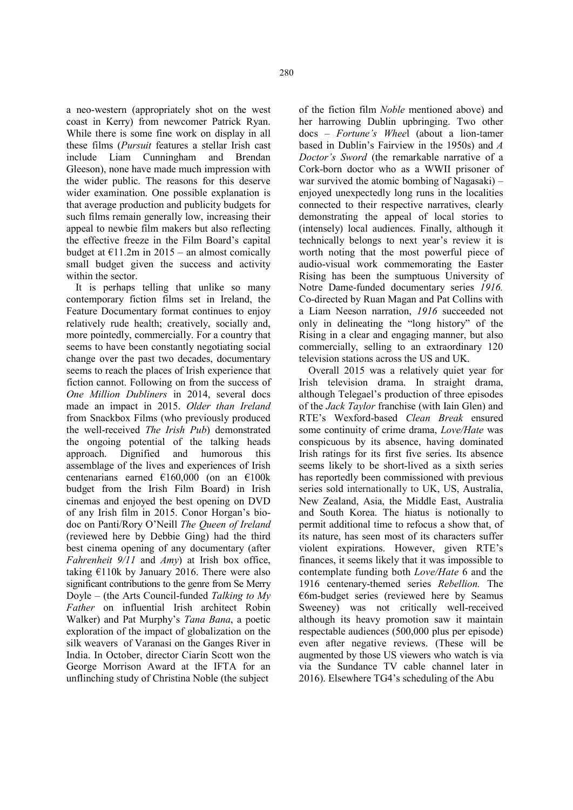a neo-western (appropriately shot on the west coast in Kerry) from newcomer Patrick Ryan. While there is some fine work on display in all these films (*Pursuit* features a stellar Irish cast include Liam Cunningham and Brendan Gleeson), none have made much impression with the wider public. The reasons for this deserve wider examination. One possible explanation is that average production and publicity budgets for such films remain generally low, increasing their appeal to newbie film makers but also reflecting the effective freeze in the Film Board's capital budget at  $E11.2m$  in 2015 – an almost comically small budget given the success and activity within the sector.

It is perhaps telling that unlike so many contemporary fiction films set in Ireland, the Feature Documentary format continues to enjoy relatively rude health; creatively, socially and, more pointedly, commercially. For a country that seems to have been constantly negotiating social change over the past two decades, documentary seems to reach the places of Irish experience that fiction cannot. Following on from the success of *One Million Dubliners* in 2014, several docs made an impact in 2015. *Older than Ireland*  from Snackbox Films (who previously produced the well-received *The Irish Pub*) demonstrated the ongoing potential of the talking heads approach. Dignified and humorous this assemblage of the lives and experiences of Irish centenarians earned €160,000 (on an €100k budget from the Irish Film Board) in Irish cinemas and enjoyed the best opening on DVD of any Irish film in 2015. Conor Horgan's biodoc on Panti/Rory O'Neill *The Queen of Ireland* (reviewed here by Debbie Ging) had the third best cinema opening of any documentary (after *Fahrenheit 9/11* and *Amy*) at Irish box office, taking  $E110k$  by January 2016. There were also significant contributions to the genre from Se Merry Doyle – (the Arts Council-funded *Talking to My Father* on influential Irish architect Robin Walker) and Pat Murphy's *Tana Bana*, a poetic exploration of the impact of globalization on the silk weavers of Varanasi on the Ganges River in India. In October, director Ciarín Scott won the George Morrison Award at the IFTA for an unflinching study of Christina Noble (the subject

of the fiction film *Noble* mentioned above) and her harrowing Dublin upbringing. Two other docs – *Fortune's Whee*l (about a lion-tamer based in Dublin's Fairview in the 1950s) and *A Doctor's Sword* (the remarkable narrative of a Cork-born doctor who as a WWII prisoner of war survived the atomic bombing of Nagasaki) – enjoyed unexpectedly long runs in the localities connected to their respective narratives, clearly demonstrating the appeal of local stories to (intensely) local audiences. Finally, although it technically belongs to next year's review it is worth noting that the most powerful piece of audio-visual work commemorating the Easter Rising has been the sumptuous University of Notre Dame-funded documentary series *1916.*  Co-directed by Ruan Magan and Pat Collins with a Liam Neeson narration, *1916* succeeded not only in delineating the "long history" of the Rising in a clear and engaging manner, but also commercially, selling to an extraordinary 120 television stations across the US and UK.

Overall 2015 was a relatively quiet year for Irish television drama. In straight drama, although Telegael's production of three episodes of the *Jack Taylor* franchise (with Iain Glen) and RTE's Wexford-based *Clean Break* ensured some continuity of crime drama, *Love/Hate* was conspicuous by its absence, having dominated Irish ratings for its first five series. Its absence seems likely to be short-lived as a sixth series has reportedly been commissioned with previous series sold internationally to UK, US, Australia, New Zealand, Asia, the Middle East, Australia and South Korea. The hiatus is notionally to permit additional time to refocus a show that, of its nature, has seen most of its characters suffer violent expirations. However, given RTE's finances, it seems likely that it was impossible to contemplate funding both *Love/Hate* 6 and the 1916 centenary-themed series *Rebellion.* The  $\epsilon$ 6m-budget series (reviewed here by Seamus Sweeney) was not critically well-received although its heavy promotion saw it maintain respectable audiences (500,000 plus per episode) even after negative reviews. (These will be augmented by those US viewers who watch is via via the Sundance TV cable channel later in 2016). Elsewhere TG4's scheduling of the Abu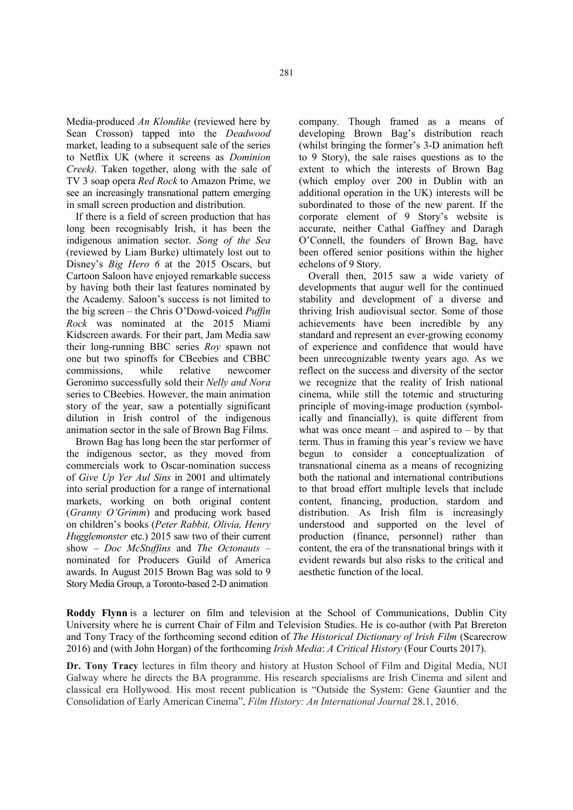Media-produced *An Klondike* (reviewed here by Sean Crosson) tapped into the *Deadwood*  market, leading to a subsequent sale of the series to Netflix UK (where it screens as *Dominion Creek)*. Taken together, along with the sale of TV 3 soap opera *Red Rock* to Amazon Prime, we see an increasingly transnational pattern emerging in small screen production and distribution.

If there is a field of screen production that has long been recognisably Irish, it has been the indigenous animation sector. *Song of the Sea*  (reviewed by Liam Burke) ultimately lost out to Disney's *Big Hero 6* at the 2015 Oscars, but Cartoon Saloon have enjoyed remarkable success by having both their last features nominated by the Academy. Saloon's success is not limited to the big screen – the Chris O'Dowd-voiced *Puffin Rock* was nominated at the 2015 Miami Kidscreen awards. For their part, Jam Media saw their long-running BBC series *Roy* spawn not one but two spinoffs for CBeebies and CBBC commissions, while relative newcomer Geronimo successfully sold their *Nelly and Nora*  series to CBeebies. However, the main animation story of the year, saw a potentially significant dilution in Irish control of the indigenous animation sector in the sale of Brown Bag Films.

Brown Bag has long been the star performer of the indigenous sector, as they moved from commercials work to Oscar-nomination success of *Give Up Yer Aul Sins* in 2001 and ultimately into serial production for a range of international markets, working on both original content (*Granny O'Grimm*) and producing work based on children's books (*Peter Rabbit, Olivia, Henry Hugglemonster* etc.) 2015 saw two of their current show – *Doc McStuffins* and *The Octonauts* – nominated for Producers Guild of America awards. In August 2015 Brown Bag was sold to 9 Story Media Group, a Toronto-based 2-D animation

company. Though framed as a means of developing Brown Bag's distribution reach (whilst bringing the former's 3-D animation heft to 9 Story), the sale raises questions as to the extent to which the interests of Brown Bag (which employ over 200 in Dublin with an additional operation in the UK) interests will be subordinated to those of the new parent. If the corporate element of 9 Story's website is accurate, neither Cathal Gaffney and Daragh O'Connell, the founders of Brown Bag, have been offered senior positions within the higher echelons of 9 Story.

Overall then, 2015 saw a wide variety of developments that augur well for the continued stability and development of a diverse and thriving Irish audiovisual sector. Some of those achievements have been incredible by any standard and represent an ever-growing economy of experience and confidence that would have been unrecognizable twenty years ago. As we reflect on the success and diversity of the sector we recognize that the reality of Irish national cinema, while still the totemic and structuring principle of moving-image production (symbolically and financially), is quite different from what was once meant – and aspired to – by that term. Thus in framing this year's review we have begun to consider a conceptualization of transnational cinema as a means of recognizing both the national and international contributions to that broad effort multiple levels that include content, financing, production, stardom and distribution. As Irish film is increasingly understood and supported on the level of production (finance, personnel) rather than content, the era of the transnational brings with it evident rewards but also risks to the critical and aesthetic function of the local.

Roddy Flynn is a lecturer on film and television at the School of Communications, Dublin City University where he is current Chair of Film and Television Studies. He is co-author (with Pat Brereton and Tony Tracy of the forthcoming second edition of *The Historical Dictionary of Irish Film* (Scarecrow 2016) and (with John Horgan) of the forthcoming *Irish Media*: *A Critical History* (Four Courts 2017).

Dr. Tony Tracy lectures in film theory and history at Huston School of Film and Digital Media, NUI Galway where he directs the BA programme. His research specialisms are Irish Cinema and silent and classical era Hollywood. His most recent publication is "Outside the System: Gene Gauntier and the Consolidation of Early American Cinema", *Film History: An International Journal* 28.1, 2016.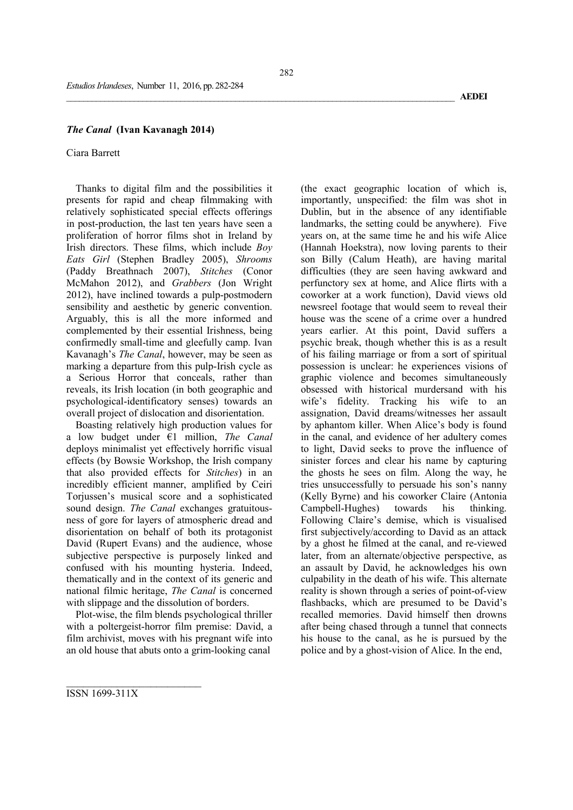#### *The Canal* (Ivan Kavanagh 2014)

#### Ciara Barrett

Thanks to digital film and the possibilities it presents for rapid and cheap filmmaking with relatively sophisticated special effects offerings in post-production, the last ten years have seen a proliferation of horror films shot in Ireland by Irish directors. These films, which include *Boy Eats Girl* (Stephen Bradley 2005), *Shrooms* (Paddy Breathnach 2007), *Stitches* (Conor McMahon 2012), and *Grabbers* (Jon Wright 2012), have inclined towards a pulp-postmodern sensibility and aesthetic by generic convention. Arguably, this is all the more informed and complemented by their essential Irishness, being confirmedly small-time and gleefully camp. Ivan Kavanagh's *The Canal*, however, may be seen as marking a departure from this pulp-Irish cycle as a Serious Horror that conceals, rather than reveals, its Irish location (in both geographic and psychological-identificatory senses) towards an overall project of dislocation and disorientation.

Boasting relatively high production values for a low budget under €1 million, *The Canal* deploys minimalist yet effectively horrific visual effects (by Bowsie Workshop, the Irish company that also provided effects for *Stitches*) in an incredibly efficient manner, amplified by Ceiri Torjussen's musical score and a sophisticated sound design. *The Canal* exchanges gratuitousness of gore for layers of atmospheric dread and disorientation on behalf of both its protagonist David (Rupert Evans) and the audience, whose subjective perspective is purposely linked and confused with his mounting hysteria. Indeed, thematically and in the context of its generic and national filmic heritage, *The Canal* is concerned with slippage and the dissolution of borders.

Plot-wise, the film blends psychological thriller with a poltergeist-horror film premise: David, a film archivist, moves with his pregnant wife into an old house that abuts onto a grim-looking canal

(the exact geographic location of which is, importantly, unspecified: the film was shot in Dublin, but in the absence of any identifiable landmarks, the setting could be anywhere). Five years on, at the same time he and his wife Alice (Hannah Hoekstra), now loving parents to their son Billy (Calum Heath), are having marital difficulties (they are seen having awkward and perfunctory sex at home, and Alice flirts with a coworker at a work function), David views old newsreel footage that would seem to reveal their house was the scene of a crime over a hundred years earlier. At this point, David suffers a psychic break, though whether this is as a result of his failing marriage or from a sort of spiritual possession is unclear: he experiences visions of graphic violence and becomes simultaneously obsessed with historical murdersand with his wife's fidelity. Tracking his wife to an assignation, David dreams/witnesses her assault by aphantom killer. When Alice's body is found in the canal, and evidence of her adultery comes to light, David seeks to prove the influence of sinister forces and clear his name by capturing the ghosts he sees on film. Along the way, he tries unsuccessfully to persuade his son's nanny (Kelly Byrne) and his coworker Claire (Antonia Campbell-Hughes) towards his thinking. Following Claire's demise, which is visualised first subjectively/according to David as an attack by a ghost he filmed at the canal, and re-viewed later, from an alternate/objective perspective, as an assault by David, he acknowledges his own culpability in the death of his wife. This alternate reality is shown through a series of point-of-view flashbacks, which are presumed to be David's recalled memories. David himself then drowns after being chased through a tunnel that connects his house to the canal, as he is pursued by the police and by a ghost-vision of Alice. In the end,

\_\_\_\_\_\_\_\_\_\_\_\_\_\_\_\_\_\_\_\_\_\_\_\_\_\_\_\_\_\_\_\_\_\_\_\_\_\_\_\_\_\_\_\_\_\_\_\_\_\_\_\_\_\_\_\_\_\_\_\_\_\_\_\_\_\_\_\_\_\_\_\_\_\_\_\_\_\_\_\_\_\_\_\_\_\_\_\_\_\_\_\_ AEDEI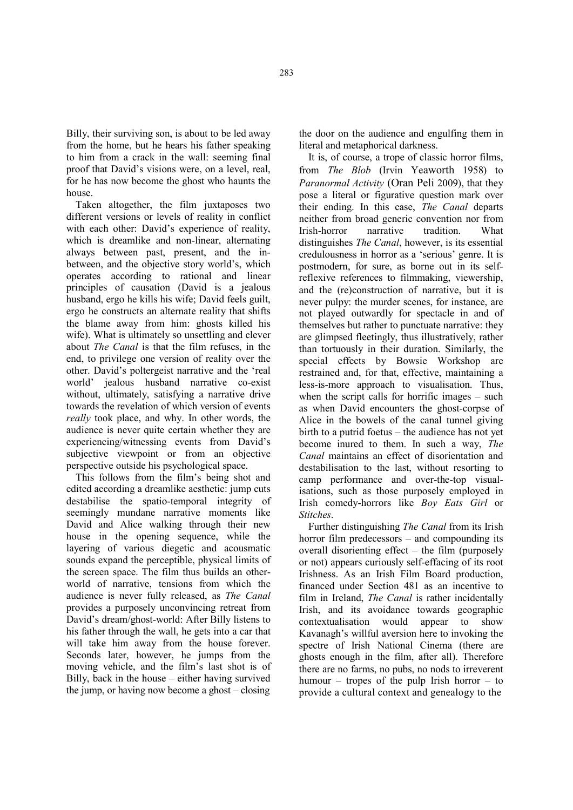Billy, their surviving son, is about to be led away from the home, but he hears his father speaking to him from a crack in the wall: seeming final proof that David's visions were, on a level, real, for he has now become the ghost who haunts the house.

Taken altogether, the film juxtaposes two different versions or levels of reality in conflict with each other: David's experience of reality, which is dreamlike and non-linear, alternating always between past, present, and the inbetween, and the objective story world's, which operates according to rational and linear principles of causation (David is a jealous husband, ergo he kills his wife; David feels guilt, ergo he constructs an alternate reality that shifts the blame away from him: ghosts killed his wife). What is ultimately so unsettling and clever about *The Canal* is that the film refuses, in the end, to privilege one version of reality over the other. David's poltergeist narrative and the 'real world' jealous husband narrative co-exist without, ultimately, satisfying a narrative drive towards the revelation of which version of events *really* took place, and why. In other words, the audience is never quite certain whether they are experiencing/witnessing events from David's subjective viewpoint or from an objective perspective outside his psychological space.

This follows from the film's being shot and edited according a dreamlike aesthetic: jump cuts destabilise the spatio-temporal integrity of seemingly mundane narrative moments like David and Alice walking through their new house in the opening sequence, while the layering of various diegetic and acousmatic sounds expand the perceptible, physical limits of the screen space. The film thus builds an otherworld of narrative, tensions from which the audience is never fully released, as *The Canal* provides a purposely unconvincing retreat from David's dream/ghost-world: After Billy listens to his father through the wall, he gets into a car that will take him away from the house forever. Seconds later, however, he jumps from the moving vehicle, and the film's last shot is of Billy, back in the house – either having survived the jump, or having now become a ghost – closing

the door on the audience and engulfing them in literal and metaphorical darkness.

It is, of course, a trope of classic horror films, from *The Blob* (Irvin Yeaworth 1958) to *Paranormal Activity* (Oran Peli 2009), that they pose a literal or figurative question mark over their ending. In this case, *The Canal* departs neither from broad generic convention nor from Irish-horror narrative tradition. What distinguishes *The Canal*, however, is its essential credulousness in horror as a 'serious' genre. It is postmodern, for sure, as borne out in its selfreflexive references to filmmaking, viewership, and the (re)construction of narrative, but it is never pulpy: the murder scenes, for instance, are not played outwardly for spectacle in and of themselves but rather to punctuate narrative: they are glimpsed fleetingly, thus illustratively, rather than tortuously in their duration. Similarly, the special effects by Bowsie Workshop are restrained and, for that, effective, maintaining a less-is-more approach to visualisation. Thus, when the script calls for horrific images – such as when David encounters the ghost-corpse of Alice in the bowels of the canal tunnel giving birth to a putrid foetus – the audience has not yet become inured to them. In such a way, *The Canal* maintains an effect of disorientation and destabilisation to the last, without resorting to camp performance and over-the-top visualisations, such as those purposely employed in Irish comedy-horrors like *Boy Eats Girl* or *Stitches*.

Further distinguishing *The Canal* from its Irish horror film predecessors – and compounding its overall disorienting effect – the film (purposely or not) appears curiously self-effacing of its root Irishness. As an Irish Film Board production, financed under Section 481 as an incentive to film in Ireland, *The Canal* is rather incidentally Irish, and its avoidance towards geographic contextualisation would appear to show Kavanagh's willful aversion here to invoking the spectre of Irish National Cinema (there are ghosts enough in the film, after all). Therefore there are no farms, no pubs, no nods to irreverent humour – tropes of the pulp Irish horror – to provide a cultural context and genealogy to the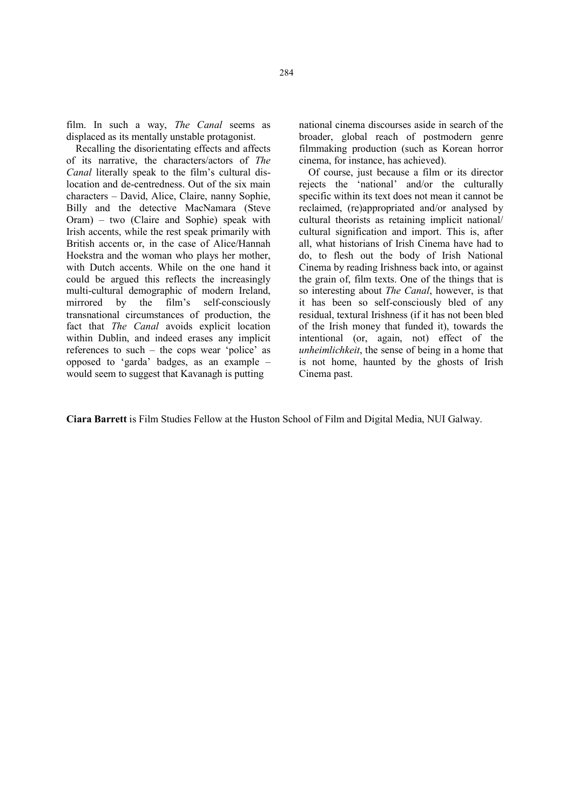film. In such a way, *The Canal* seems as displaced as its mentally unstable protagonist.

Recalling the disorientating effects and affects of its narrative, the characters/actors of *The Canal* literally speak to the film's cultural dislocation and de-centredness. Out of the six main characters – David, Alice, Claire, nanny Sophie, Billy and the detective MacNamara (Steve Oram) – two (Claire and Sophie) speak with Irish accents, while the rest speak primarily with British accents or, in the case of Alice/Hannah Hoekstra and the woman who plays her mother, with Dutch accents. While on the one hand it could be argued this reflects the increasingly multi-cultural demographic of modern Ireland, mirrored by the film's self-consciously transnational circumstances of production, the fact that *The Canal* avoids explicit location within Dublin, and indeed erases any implicit references to such – the cops wear 'police' as opposed to 'garda' badges, as an example – would seem to suggest that Kavanagh is putting

national cinema discourses aside in search of the broader, global reach of postmodern genre filmmaking production (such as Korean horror cinema, for instance, has achieved).

Of course, just because a film or its director rejects the 'national' and/or the culturally specific within its text does not mean it cannot be reclaimed, (re)appropriated and/or analysed by cultural theorists as retaining implicit national/ cultural signification and import. This is, after all, what historians of Irish Cinema have had to do, to flesh out the body of Irish National Cinema by reading Irishness back into, or against the grain of, film texts. One of the things that is so interesting about *The Canal*, however, is that it has been so self-consciously bled of any residual, textural Irishness (if it has not been bled of the Irish money that funded it), towards the intentional (or, again, not) effect of the *unheimlichkeit*, the sense of being in a home that is not home, haunted by the ghosts of Irish Cinema past.

Ciara Barrett is Film Studies Fellow at the Huston School of Film and Digital Media, NUI Galway.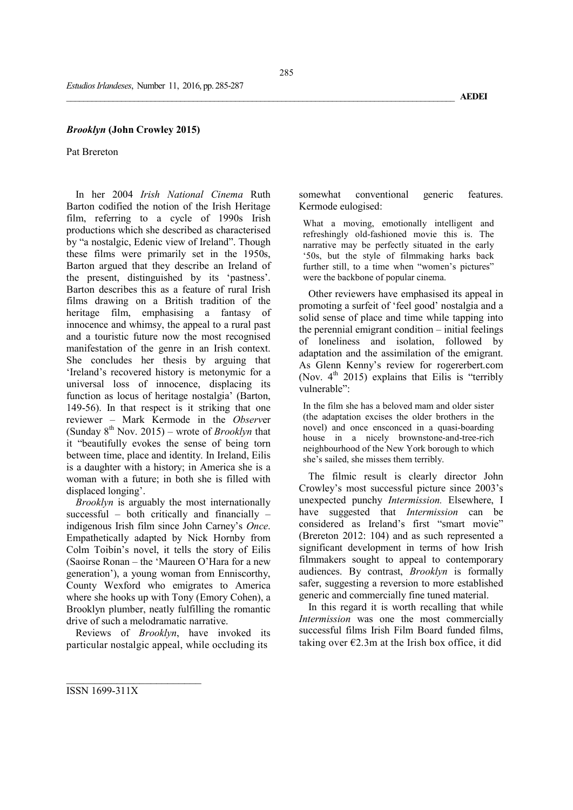### *Brooklyn* (John Crowley 2015)

Pat Brereton

In her 2004 *Irish National Cinema* Ruth Barton codified the notion of the Irish Heritage film, referring to a cycle of 1990s Irish productions which she described as characterised by "a nostalgic, Edenic view of Ireland". Though these films were primarily set in the 1950s, Barton argued that they describe an Ireland of the present, distinguished by its 'pastness'. Barton describes this as a feature of rural Irish films drawing on a British tradition of the heritage film, emphasising a fantasy of innocence and whimsy, the appeal to a rural past and a touristic future now the most recognised manifestation of the genre in an Irish context. She concludes her thesis by arguing that 'Ireland's recovered history is metonymic for a universal loss of innocence, displacing its function as locus of heritage nostalgia' (Barton, 149-56). In that respect is it striking that one reviewer – Mark Kermode in the *Observ*er (Sunday  $8^{th}$  Nov. 2015) – wrote of *Brooklyn* that it "beautifully evokes the sense of being torn between time, place and identity. In Ireland, Eilis is a daughter with a history; in America she is a woman with a future; in both she is filled with displaced longing'.

*Brooklyn* is arguably the most internationally successful – both critically and financially – indigenous Irish film since John Carney's *Once*. Empathetically adapted by Nick Hornby from Colm Toibín's novel, it tells the story of Eilis (Saoirse Ronan – the 'Maureen O'Hara for a new generation'), a young woman from Enniscorthy, County Wexford who emigrates to America where she hooks up with Tony (Emory Cohen), a Brooklyn plumber, neatly fulfilling the romantic drive of such a melodramatic narrative.

Reviews of *Brooklyn*, have invoked its particular nostalgic appeal, while occluding its

somewhat conventional generic features. Kermode eulogised:

What a moving, emotionally intelligent and refreshingly old-fashioned movie this is. The narrative may be perfectly situated in the early '50s, but the style of filmmaking harks back further still, to a time when "women's pictures" were the backbone of popular cinema.

Other reviewers have emphasised its appeal in promoting a surfeit of 'feel good' nostalgia and a solid sense of place and time while tapping into the perennial emigrant condition – initial feelings of loneliness and isolation, followed by adaptation and the assimilation of the emigrant. As Glenn Kenny's review for rogererbert.com (Nov.  $4^{th}$  2015) explains that Eilis is "terribly vulnerable":

In the film she has a beloved mam and older sister (the adaptation excises the older brothers in the novel) and once ensconced in a quasi-boarding house in a nicely brownstone-and-tree-rich neighbourhood of the New York borough to which she's sailed, she misses them terribly.

The filmic result is clearly director John Crowley's most successful picture since 2003's unexpected punchy *Intermission.* Elsewhere, I have suggested that *Intermission* can be considered as Ireland's first "smart movie" (Brereton 2012: 104) and as such represented a significant development in terms of how Irish filmmakers sought to appeal to contemporary audiences. By contrast, *Brooklyn* is formally safer, suggesting a reversion to more established generic and commercially fine tuned material.

In this regard it is worth recalling that while *Intermission* was one the most commercially successful films Irish Film Board funded films, taking over  $\epsilon$ 2.3m at the Irish box office, it did

\_\_\_\_\_\_\_\_\_\_\_\_\_\_\_\_\_\_\_\_\_\_\_\_\_\_\_\_\_\_\_\_\_\_\_\_\_\_\_\_\_\_\_\_\_\_\_\_\_\_\_\_\_\_\_\_\_\_\_\_\_\_\_\_\_\_\_\_\_\_\_\_\_\_\_\_\_\_\_\_\_\_\_\_\_\_\_\_\_\_\_\_ AEDEI

ISSN 1699-311X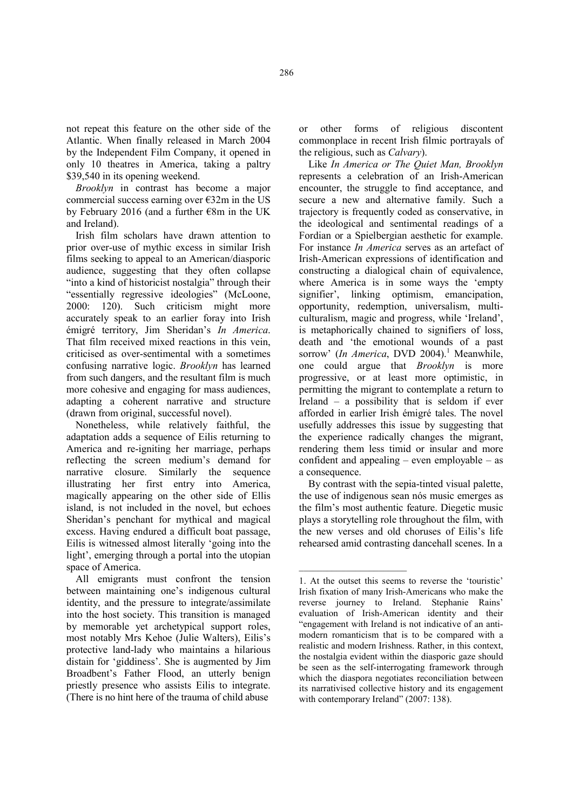not repeat this feature on the other side of the Atlantic. When finally released in March 2004 by the Independent Film Company, it opened in only 10 theatres in America, taking a paltry \$39,540 in its opening weekend.

*Brooklyn* in contrast has become a major commercial success earning over  $\epsilon$ 32m in the US by February 2016 (and a further €8m in the UK and Ireland).

Irish film scholars have drawn attention to prior over-use of mythic excess in similar Irish films seeking to appeal to an American/diasporic audience, suggesting that they often collapse "into a kind of historicist nostalgia" through their "essentially regressive ideologies" (McLoone, 2000: 120). Such criticism might more accurately speak to an earlier foray into Irish émigré territory, Jim Sheridan's *In America*. That film received mixed reactions in this vein, criticised as over-sentimental with a sometimes confusing narrative logic. *Brooklyn* has learned from such dangers, and the resultant film is much more cohesive and engaging for mass audiences, adapting a coherent narrative and structure (drawn from original, successful novel).

Nonetheless, while relatively faithful, the adaptation adds a sequence of Eilis returning to America and re-igniting her marriage, perhaps reflecting the screen medium's demand for narrative closure. Similarly the sequence illustrating her first entry into America, magically appearing on the other side of Ellis island, is not included in the novel, but echoes Sheridan's penchant for mythical and magical excess. Having endured a difficult boat passage, Eilis is witnessed almost literally 'going into the light', emerging through a portal into the utopian space of America.

All emigrants must confront the tension between maintaining one's indigenous cultural identity, and the pressure to integrate/assimilate into the host society. This transition is managed by memorable yet archetypical support roles, most notably Mrs Kehoe (Julie Walters), Eilis's protective land-lady who maintains a hilarious distain for 'giddiness'. She is augmented by Jim Broadbent's Father Flood, an utterly benign priestly presence who assists Eilis to integrate. (There is no hint here of the trauma of child abuse

or other forms of religious discontent commonplace in recent Irish filmic portrayals of the religious, such as *Calvary*).

Like *In America or The Quiet Man, Brooklyn* represents a celebration of an Irish-American encounter, the struggle to find acceptance, and secure a new and alternative family. Such a trajectory is frequently coded as conservative, in the ideological and sentimental readings of a Fordian or a Spielbergian aesthetic for example. For instance *In America* serves as an artefact of Irish-American expressions of identification and constructing a dialogical chain of equivalence, where America is in some ways the 'empty signifier', linking optimism, emancipation, opportunity, redemption, universalism, multiculturalism, magic and progress, while 'Ireland', is metaphorically chained to signifiers of loss, death and 'the emotional wounds of a past sorrow' *(In America*, DVD 2004).<sup>1</sup> Meanwhile, one could argue that *Brooklyn* is more progressive, or at least more optimistic, in permitting the migrant to contemplate a return to Ireland – a possibility that is seldom if ever afforded in earlier Irish émigré tales. The novel usefully addresses this issue by suggesting that the experience radically changes the migrant, rendering them less timid or insular and more confident and appealing – even employable – as a consequence.

By contrast with the sepia-tinted visual palette, the use of indigenous sean nós music emerges as the film's most authentic feature. Diegetic music plays a storytelling role throughout the film, with the new verses and old choruses of Eilis's life rehearsed amid contrasting dancehall scenes. In a

<sup>1.</sup> At the outset this seems to reverse the 'touristic' Irish fixation of many Irish-Americans who make the reverse journey to Ireland. Stephanie Rains' evaluation of Irish-American identity and their "engagement with Ireland is not indicative of an antimodern romanticism that is to be compared with a realistic and modern Irishness. Rather, in this context, the nostalgia evident within the diasporic gaze should be seen as the self-interrogating framework through which the diaspora negotiates reconciliation between its narrativised collective history and its engagement with contemporary Ireland" (2007: 138).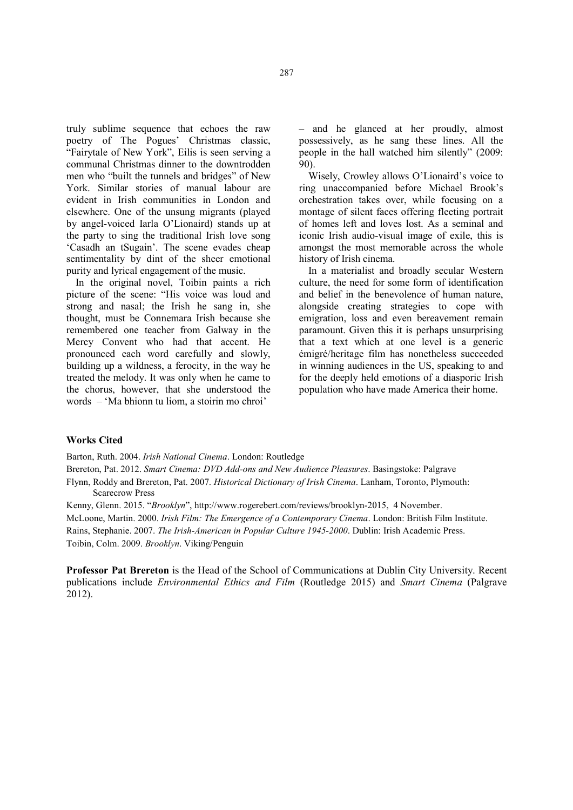truly sublime sequence that echoes the raw poetry of The Pogues' Christmas classic, "Fairytale of New York", Eilis is seen serving a communal Christmas dinner to the downtrodden men who "built the tunnels and bridges" of New York. Similar stories of manual labour are evident in Irish communities in London and elsewhere. One of the unsung migrants (played by angel-voiced Iarla O'Lionaird) stands up at the party to sing the traditional Irish love song 'Casadh an tSugain'. The scene evades cheap sentimentality by dint of the sheer emotional purity and lyrical engagement of the music.

In the original novel, Toibin paints a rich picture of the scene: "His voice was loud and strong and nasal; the Irish he sang in, she thought, must be Connemara Irish because she remembered one teacher from Galway in the Mercy Convent who had that accent. He pronounced each word carefully and slowly, building up a wildness, a ferocity, in the way he treated the melody. It was only when he came to the chorus, however, that she understood the words – 'Ma bhionn tu liom, a stoirin mo chroi'

– and he glanced at her proudly, almost possessively, as he sang these lines. All the people in the hall watched him silently" (2009: 90).

Wisely, Crowley allows O'Lionaird's voice to ring unaccompanied before Michael Brook's orchestration takes over, while focusing on a montage of silent faces offering fleeting portrait of homes left and loves lost. As a seminal and iconic Irish audio-visual image of exile, this is amongst the most memorable across the whole history of Irish cinema.

In a materialist and broadly secular Western culture, the need for some form of identification and belief in the benevolence of human nature, alongside creating strategies to cope with emigration, loss and even bereavement remain paramount. Given this it is perhaps unsurprising that a text which at one level is a generic émigré/heritage film has nonetheless succeeded in winning audiences in the US, speaking to and for the deeply held emotions of a diasporic Irish population who have made America their home.

### Works Cited

Barton, Ruth. 2004. *Irish National Cinema*. London: Routledge

Brereton, Pat. 2012. *Smart Cinema: DVD Add-ons and New Audience Pleasures*. Basingstoke: Palgrave

- Flynn, Roddy and Brereton, Pat. 2007. *Historical Dictionary of Irish Cinema*. Lanham, Toronto, Plymouth: Scarecrow Press
- Kenny, Glenn. 2015. "*Brooklyn*", http://www.rogerebert.com/reviews/brooklyn-2015, 4 November.

McLoone, Martin. 2000. *Irish Film: The Emergence of a Contemporary Cinema*. London: British Film Institute. Rains, Stephanie. 2007. *The Irish-American in Popular Culture 1945-2000*. Dublin: Irish Academic Press. Toibin, Colm. 2009. *Brooklyn*. Viking/Penguin

Professor Pat Brereton is the Head of the School of Communications at Dublin City University. Recent publications include *Environmental Ethics and Film* (Routledge 2015) and *Smart Cinema* (Palgrave 2012).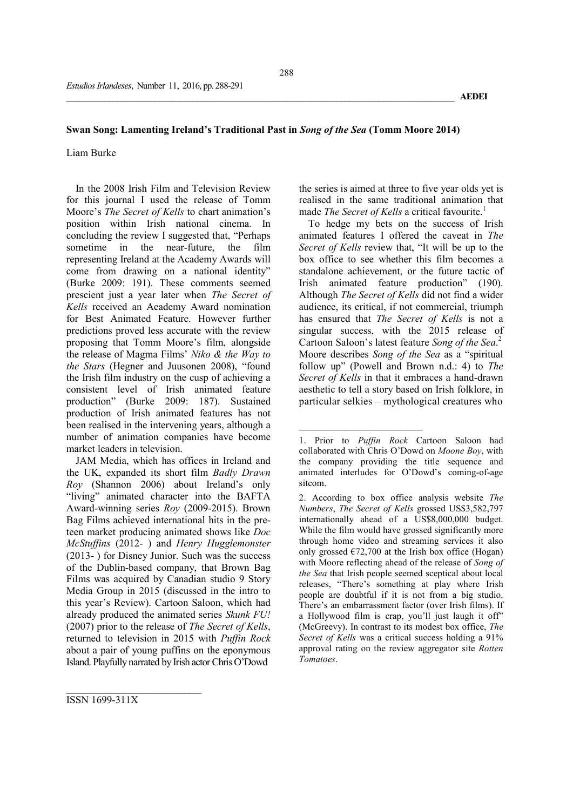### Swan Song: Lamenting Ireland's Traditional Past in *Song of the Sea* (Tomm Moore 2014)

#### Liam Burke

In the 2008 Irish Film and Television Review for this journal I used the release of Tomm Moore's *The Secret of Kells* to chart animation's position within Irish national cinema. In concluding the review I suggested that, "Perhaps sometime in the near-future, the film representing Ireland at the Academy Awards will come from drawing on a national identity" (Burke 2009: 191). These comments seemed prescient just a year later when *The Secret of Kells* received an Academy Award nomination for Best Animated Feature. However further predictions proved less accurate with the review proposing that Tomm Moore's film, alongside the release of Magma Films' *Niko & the Way to the Stars* (Hegner and Juusonen 2008), "found the Irish film industry on the cusp of achieving a consistent level of Irish animated feature production" (Burke 2009: 187). Sustained production of Irish animated features has not been realised in the intervening years, although a number of animation companies have become market leaders in television.

JAM Media, which has offices in Ireland and the UK, expanded its short film *Badly Drawn Roy* (Shannon 2006) about Ireland's only "living" animated character into the BAFTA Award-winning series *Roy* (2009-2015). Brown Bag Films achieved international hits in the preteen market producing animated shows like *Doc McStuffins* (2012- ) and *Henry Hugglemonster* (2013- ) for Disney Junior. Such was the success of the Dublin-based company, that Brown Bag Films was acquired by Canadian studio 9 Story Media Group in 2015 (discussed in the intro to this year's Review). Cartoon Saloon, which had already produced the animated series *Skunk FU!* (2007) prior to the release of *The Secret of Kells*, returned to television in 2015 with *Puffin Rock* about a pair of young puffins on the eponymous Island. Playfully narrated by Irish actor Chris O'Dowd

the series is aimed at three to five year olds yet is realised in the same traditional animation that made *The Secret of Kells* a critical favourite.<sup>1</sup>

To hedge my bets on the success of Irish animated features I offered the caveat in *The Secret of Kells* review that, "It will be up to the box office to see whether this film becomes a standalone achievement, or the future tactic of Irish animated feature production" (190). Although *The Secret of Kells* did not find a wider audience, its critical, if not commercial, triumph has ensured that *The Secret of Kells* is not a singular success, with the 2015 release of Cartoon Saloon's latest feature *Song of the Sea*. 2 Moore describes *Song of the Sea* as a "spiritual follow up" (Powell and Brown n.d.: 4) to *The Secret of Kells* in that it embraces a hand-drawn aesthetic to tell a story based on Irish folklore, in particular selkies – mythological creatures who

 $\overline{\phantom{a}}$  , where  $\overline{\phantom{a}}$  , where  $\overline{\phantom{a}}$  ,  $\overline{\phantom{a}}$  ,  $\overline{\phantom{a}}$  ,  $\overline{\phantom{a}}$  ,  $\overline{\phantom{a}}$  ,  $\overline{\phantom{a}}$  ,  $\overline{\phantom{a}}$  ,  $\overline{\phantom{a}}$  ,  $\overline{\phantom{a}}$  ,  $\overline{\phantom{a}}$  ,  $\overline{\phantom{a}}$  ,  $\overline{\phantom{a}}$  ,  $\overline{\phantom{a}}$  ,

<sup>1.</sup> Prior to *Puffin Rock* Cartoon Saloon had collaborated with Chris O'Dowd on *Moone Boy*, with the company providing the title sequence and animated interludes for O'Dowd's coming-of-age sitcom.

<sup>2.</sup> According to box office analysis website *The Numbers*, *The Secret of Kells* grossed US\$3,582,797 internationally ahead of a US\$8,000,000 budget. While the film would have grossed significantly more through home video and streaming services it also only grossed  $\epsilon$ 72,700 at the Irish box office (Hogan) with Moore reflecting ahead of the release of *Song of the Sea* that Irish people seemed sceptical about local releases, "There's something at play where Irish people are doubtful if it is not from a big studio. There's an embarrassment factor (over Irish films). If a Hollywood film is crap, you'll just laugh it off" (McGreevy). In contrast to its modest box office, *The Secret of Kells* was a critical success holding a 91% approval rating on the review aggregator site *Rotten Tomatoes*.

ISSN 1699-311X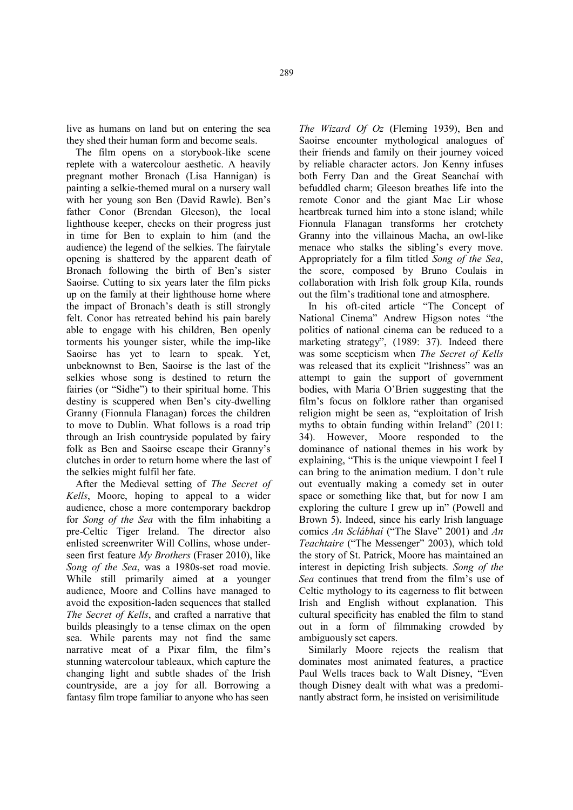live as humans on land but on entering the sea they shed their human form and become seals.

The film opens on a storybook-like scene replete with a watercolour aesthetic. A heavily pregnant mother Bronach (Lisa Hannigan) is painting a selkie-themed mural on a nursery wall with her young son Ben (David Rawle). Ben's father Conor (Brendan Gleeson), the local lighthouse keeper, checks on their progress just in time for Ben to explain to him (and the audience) the legend of the selkies. The fairytale opening is shattered by the apparent death of Bronach following the birth of Ben's sister Saoirse. Cutting to six years later the film picks up on the family at their lighthouse home where the impact of Bronach's death is still strongly felt. Conor has retreated behind his pain barely able to engage with his children, Ben openly torments his younger sister, while the imp-like Saoirse has yet to learn to speak. Yet, unbeknownst to Ben, Saoirse is the last of the selkies whose song is destined to return the fairies (or "Sidhe") to their spiritual home. This destiny is scuppered when Ben's city-dwelling Granny (Fionnula Flanagan) forces the children to move to Dublin. What follows is a road trip through an Irish countryside populated by fairy folk as Ben and Saoirse escape their Granny's clutches in order to return home where the last of the selkies might fulfil her fate.

After the Medieval setting of *The Secret of Kells*, Moore, hoping to appeal to a wider audience, chose a more contemporary backdrop for *Song of the Sea* with the film inhabiting a pre-Celtic Tiger Ireland. The director also enlisted screenwriter Will Collins, whose underseen first feature *My Brothers* (Fraser 2010), like *Song of the Sea*, was a 1980s-set road movie. While still primarily aimed at a younger audience, Moore and Collins have managed to avoid the exposition-laden sequences that stalled *The Secret of Kells*, and crafted a narrative that builds pleasingly to a tense climax on the open sea. While parents may not find the same narrative meat of a Pixar film, the film's stunning watercolour tableaux, which capture the changing light and subtle shades of the Irish countryside, are a joy for all. Borrowing a fantasy film trope familiar to anyone who has seen

*The Wizard Of Oz* (Fleming 1939), Ben and Saoirse encounter mythological analogues of their friends and family on their journey voiced by reliable character actors. Jon Kenny infuses both Ferry Dan and the Great Seanchaí with befuddled charm; Gleeson breathes life into the remote Conor and the giant Mac Lir whose heartbreak turned him into a stone island; while Fionnula Flanagan transforms her crotchety Granny into the villainous Macha, an owl-like menace who stalks the sibling's every move. Appropriately for a film titled *Song of the Sea*, the score, composed by Bruno Coulais in collaboration with Irish folk group Kíla, rounds out the film's traditional tone and atmosphere.

In his oft-cited article "The Concept of National Cinema" Andrew Higson notes "the politics of national cinema can be reduced to a marketing strategy", (1989: 37). Indeed there was some scepticism when *The Secret of Kells* was released that its explicit "Irishness" was an attempt to gain the support of government bodies, with Maria O'Brien suggesting that the film's focus on folklore rather than organised religion might be seen as, "exploitation of Irish myths to obtain funding within Ireland" (2011: 34). However, Moore responded to the dominance of national themes in his work by explaining, "This is the unique viewpoint I feel I can bring to the animation medium. I don't rule out eventually making a comedy set in outer space or something like that, but for now I am exploring the culture I grew up in" (Powell and Brown 5). Indeed, since his early Irish language comics *An Sclábhaí* ("The Slave" 2001) and *An Teachtaire* ("The Messenger" 2003), which told the story of St. Patrick, Moore has maintained an interest in depicting Irish subjects. *Song of the Sea* continues that trend from the film's use of Celtic mythology to its eagerness to flit between Irish and English without explanation. This cultural specificity has enabled the film to stand out in a form of filmmaking crowded by ambiguously set capers.

Similarly Moore rejects the realism that dominates most animated features, a practice Paul Wells traces back to Walt Disney, "Even though Disney dealt with what was a predominantly abstract form, he insisted on verisimilitude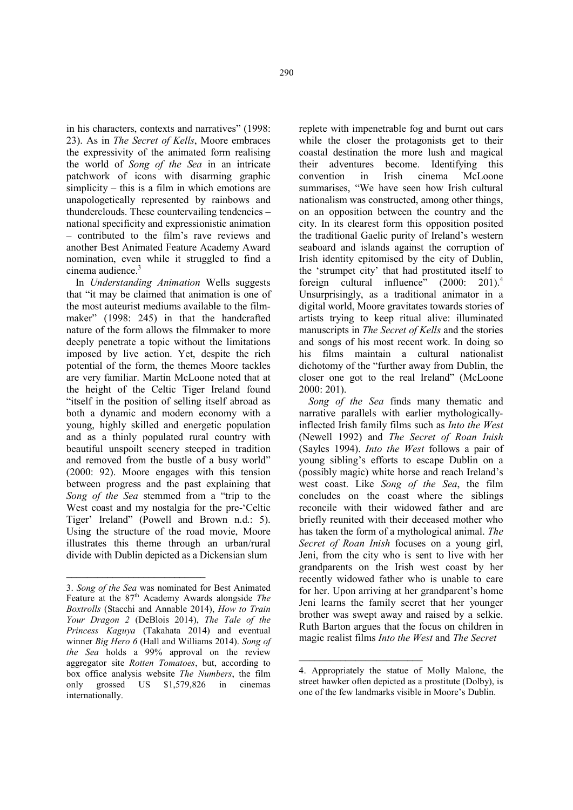in his characters, contexts and narratives" (1998: 23). As in *The Secret of Kells*, Moore embraces the expressivity of the animated form realising the world of *Song of the Sea* in an intricate patchwork of icons with disarming graphic simplicity – this is a film in which emotions are unapologetically represented by rainbows and thunderclouds. These countervailing tendencies – national specificity and expressionistic animation – contributed to the film's rave reviews and another Best Animated Feature Academy Award nomination, even while it struggled to find a cinema audience.<sup>3</sup>

In *Understanding Animation* Wells suggests that "it may be claimed that animation is one of the most auteurist mediums available to the filmmaker" (1998: 245) in that the handcrafted nature of the form allows the filmmaker to more deeply penetrate a topic without the limitations imposed by live action. Yet, despite the rich potential of the form, the themes Moore tackles are very familiar. Martin McLoone noted that at the height of the Celtic Tiger Ireland found "itself in the position of selling itself abroad as both a dynamic and modern economy with a young, highly skilled and energetic population and as a thinly populated rural country with beautiful unspoilt scenery steeped in tradition and removed from the bustle of a busy world" (2000: 92). Moore engages with this tension between progress and the past explaining that *Song of the Sea* stemmed from a "trip to the West coast and my nostalgia for the pre-'Celtic Tiger' Ireland" (Powell and Brown n.d.: 5). Using the structure of the road movie, Moore illustrates this theme through an urban/rural divide with Dublin depicted as a Dickensian slum

\_\_\_\_\_\_\_\_\_\_\_\_\_\_\_\_\_\_\_\_\_\_\_\_\_\_\_

replete with impenetrable fog and burnt out cars while the closer the protagonists get to their coastal destination the more lush and magical their adventures become. Identifying this convention in Irish cinema McLoone summarises, "We have seen how Irish cultural nationalism was constructed, among other things, on an opposition between the country and the city. In its clearest form this opposition posited the traditional Gaelic purity of Ireland's western seaboard and islands against the corruption of Irish identity epitomised by the city of Dublin, the 'strumpet city' that had prostituted itself to foreign cultural influence" (2000: 201).<sup>4</sup> Unsurprisingly, as a traditional animator in a digital world, Moore gravitates towards stories of artists trying to keep ritual alive: illuminated manuscripts in *The Secret of Kells* and the stories and songs of his most recent work. In doing so his films maintain a cultural nationalist dichotomy of the "further away from Dublin, the closer one got to the real Ireland" (McLoone 2000: 201).

*Song of the Sea* finds many thematic and narrative parallels with earlier mythologicallyinflected Irish family films such as *Into the West* (Newell 1992) and *The Secret of Roan Inish* (Sayles 1994). *Into the West* follows a pair of young sibling's efforts to escape Dublin on a (possibly magic) white horse and reach Ireland's west coast. Like *Song of the Sea*, the film concludes on the coast where the siblings reconcile with their widowed father and are briefly reunited with their deceased mother who has taken the form of a mythological animal. *The Secret of Roan Inish* focuses on a young girl, Jeni, from the city who is sent to live with her grandparents on the Irish west coast by her recently widowed father who is unable to care for her. Upon arriving at her grandparent's home Jeni learns the family secret that her younger brother was swept away and raised by a selkie. Ruth Barton argues that the focus on children in magic realist films *Into the West* and *The Secret*

 $\overline{\phantom{a}}$  , where  $\overline{\phantom{a}}$  , where  $\overline{\phantom{a}}$  ,  $\overline{\phantom{a}}$  ,  $\overline{\phantom{a}}$  ,  $\overline{\phantom{a}}$  ,  $\overline{\phantom{a}}$  ,  $\overline{\phantom{a}}$  ,  $\overline{\phantom{a}}$  ,  $\overline{\phantom{a}}$  ,  $\overline{\phantom{a}}$  ,  $\overline{\phantom{a}}$  ,  $\overline{\phantom{a}}$  ,  $\overline{\phantom{a}}$  ,  $\overline{\phantom{a}}$  ,

<sup>3.</sup> *Song of the Sea* was nominated for Best Animated Feature at the 87<sup>th</sup> Academy Awards alongside *The Boxtrolls* (Stacchi and Annable 2014), *How to Train Your Dragon 2* (DeBlois 2014), *The Tale of the Princess Kaguya* (Takahata 2014) and eventual winner *Big Hero 6* (Hall and Williams 2014). *Song of the Sea* holds a 99% approval on the review aggregator site *Rotten Tomatoes*, but, according to box office analysis website *The Numbers*, the film only grossed US \$1,579,826 in cinemas internationally.

<sup>4.</sup> Appropriately the statue of Molly Malone, the street hawker often depicted as a prostitute (Dolby), is one of the few landmarks visible in Moore's Dublin.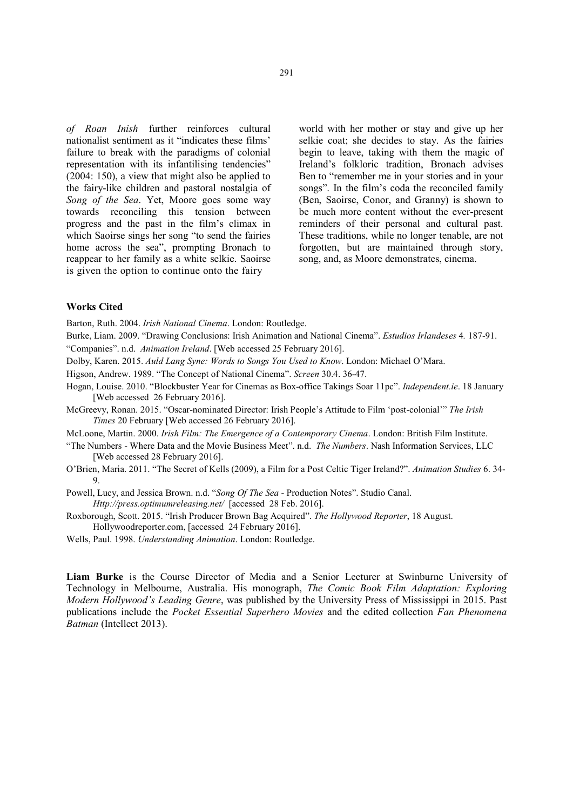*of Roan Inish* further reinforces cultural nationalist sentiment as it "indicates these films' failure to break with the paradigms of colonial representation with its infantilising tendencies" (2004: 150), a view that might also be applied to the fairy-like children and pastoral nostalgia of *Song of the Sea*. Yet, Moore goes some way towards reconciling this tension between progress and the past in the film's climax in which Saoirse sings her song "to send the fairies home across the sea", prompting Bronach to reappear to her family as a white selkie. Saoirse is given the option to continue onto the fairy

world with her mother or stay and give up her selkie coat; she decides to stay. As the fairies begin to leave, taking with them the magic of Ireland's folkloric tradition, Bronach advises Ben to "remember me in your stories and in your songs". In the film's coda the reconciled family (Ben, Saoirse, Conor, and Granny) is shown to be much more content without the ever-present reminders of their personal and cultural past. These traditions, while no longer tenable, are not forgotten, but are maintained through story, song, and, as Moore demonstrates, cinema.

#### Works Cited

Barton, Ruth. 2004. *Irish National Cinema*. London: Routledge.

Burke, Liam. 2009. "Drawing Conclusions: Irish Animation and National Cinema". *Estudios Irlandeses* 4*.* 187-91.

"Companies". n.d. *Animation Ireland*. [Web accessed 25 February 2016].

- Dolby, Karen. 2015. *Auld Lang Syne: Words to Songs You Used to Know*. London: Michael O'Mara.
- Higson, Andrew. 1989. "The Concept of National Cinema". *Screen* 30.4. 36-47.
- Hogan, Louise. 2010. "Blockbuster Year for Cinemas as Box-office Takings Soar 11pc". *Independent.ie*. 18 January [Web accessed 26 February 2016].
- McGreevy, Ronan. 2015. "Oscar-nominated Director: Irish People's Attitude to Film 'post-colonial'" *The Irish Times* 20 February [Web accessed 26 February 2016].
- McLoone, Martin. 2000. *Irish Film: The Emergence of a Contemporary Cinema*. London: British Film Institute.
- "The Numbers Where Data and the Movie Business Meet". n.d. *The Numbers*. Nash Information Services, LLC [Web accessed 28 February 2016].
- O'Brien, Maria. 2011. "The Secret of Kells (2009), a Film for a Post Celtic Tiger Ireland?". *Animation Studies* 6. 34- 9.
- Powell, Lucy, and Jessica Brown. n.d. "*Song Of The Sea* Production Notes". Studio Canal. *Http://press.optimumreleasing.net/* [accessed 28 Feb. 2016].
- Roxborough, Scott. 2015. "Irish Producer Brown Bag Acquired". *The Hollywood Reporter*, 18 August. Hollywoodreporter.com, [accessed 24 February 2016].
- Wells, Paul. 1998. *Understanding Animation*. London: Routledge.

Liam Burke is the Course Director of Media and a Senior Lecturer at Swinburne University of Technology in Melbourne, Australia. His monograph, *The Comic Book Film Adaptation: Exploring Modern Hollywood's Leading Genre*, was published by the University Press of Mississippi in 2015. Past publications include the *Pocket Essential Superhero Movies* and the edited collection *Fan Phenomena Batman* (Intellect 2013).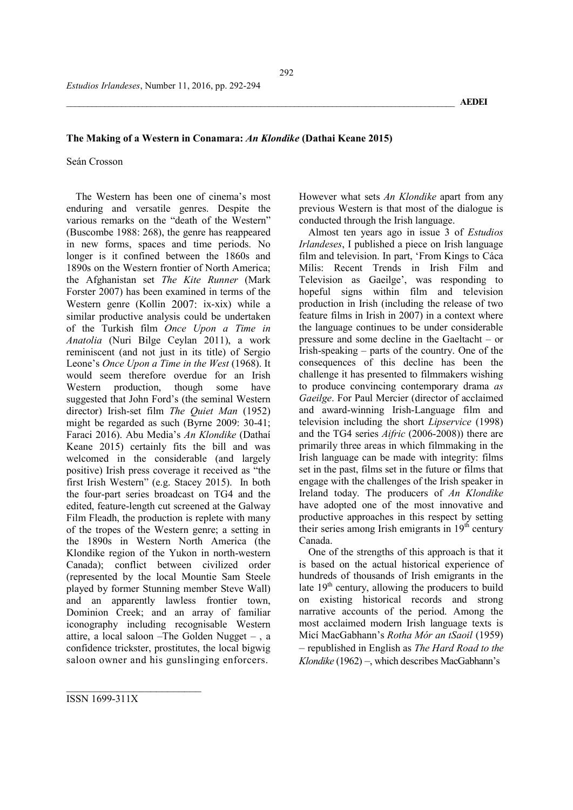## The Making of a Western in Conamara: *An Klondike* (Dathai Keane 2015)

#### Seán Crosson

The Western has been one of cinema's most enduring and versatile genres. Despite the various remarks on the "death of the Western" (Buscombe 1988: 268), the genre has reappeared in new forms, spaces and time periods. No longer is it confined between the 1860s and 1890s on the Western frontier of North America; the Afghanistan set *The Kite Runner* (Mark Forster 2007) has been examined in terms of the Western genre (Kollin 2007: ix-xix) while a similar productive analysis could be undertaken of the Turkish film *Once Upon a Time in Anatolia* (Nuri Bilge Ceylan 2011), a work reminiscent (and not just in its title) of Sergio Leone's *Once Upon a Time in the West* (1968). It would seem therefore overdue for an Irish Western production, though some have suggested that John Ford's (the seminal Western director) Irish-set film *The Quiet Man* (1952) might be regarded as such (Byrne 2009: 30-41; Faraci 2016). Abu Media's *An Klondike* (Dathaí Keane 2015) certainly fits the bill and was welcomed in the considerable (and largely positive) Irish press coverage it received as "the first Irish Western" (e.g. Stacey 2015). In both the four-part series broadcast on TG4 and the edited, feature-length cut screened at the Galway Film Fleadh, the production is replete with many of the tropes of the Western genre; a setting in the 1890s in Western North America (the Klondike region of the Yukon in north-western Canada); conflict between civilized order (represented by the local Mountie Sam Steele played by former Stunning member Steve Wall) and an apparently lawless frontier town, Dominion Creek; and an array of familiar iconography including recognisable Western attire, a local saloon –The Golden Nugget – , a confidence trickster, prostitutes, the local bigwig saloon owner and his gunslinging enforcers.

However what sets *An Klondike* apart from any previous Western is that most of the dialogue is conducted through the Irish language.

Almost ten years ago in issue 3 of *Estudios Irlandeses*, I published a piece on Irish language film and television. In part, 'From Kings to Cáca Mílis: Recent Trends in Irish Film and Television as Gaeilge', was responding to hopeful signs within film and television production in Irish (including the release of two feature films in Irish in 2007) in a context where the language continues to be under considerable pressure and some decline in the Gaeltacht – or Irish-speaking – parts of the country. One of the consequences of this decline has been the challenge it has presented to filmmakers wishing to produce convincing contemporary drama *as Gaeilge*. For Paul Mercier (director of acclaimed and award-winning Irish-Language film and television including the short *Lipservice* (1998) and the TG4 series *Aifric* (2006-2008)) there are primarily three areas in which filmmaking in the Irish language can be made with integrity: films set in the past, films set in the future or films that engage with the challenges of the Irish speaker in Ireland today. The producers of *An Klondike*  have adopted one of the most innovative and productive approaches in this respect by setting their series among Irish emigrants in  $19<sup>th</sup>$  century Canada.

One of the strengths of this approach is that it is based on the actual historical experience of hundreds of thousands of Irish emigrants in the late  $19<sup>th</sup>$  century, allowing the producers to build on existing historical records and strong narrative accounts of the period. Among the most acclaimed modern Irish language texts is Micí MacGabhann's *Rotha Mór an tSaoil* (1959) – republished in English as *The Hard Road to the Klondike* (1962) –, which describes MacGabhann's

ISSN 1699-311X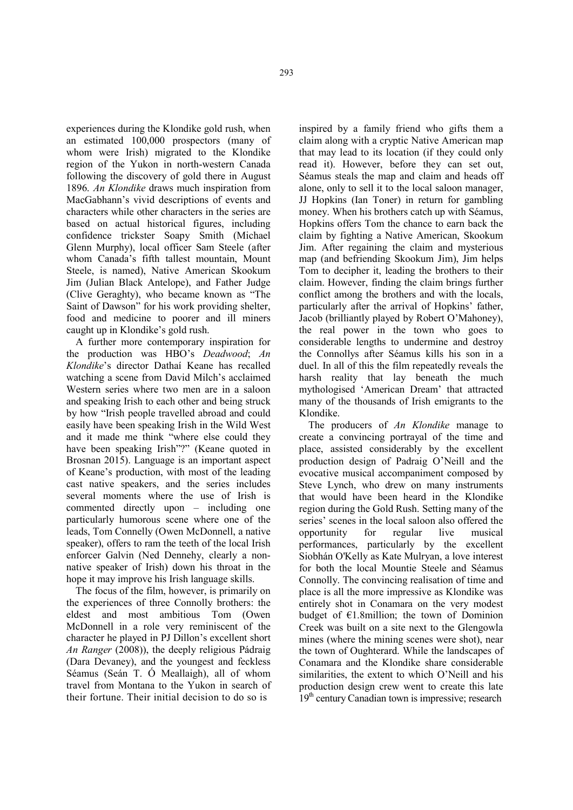experiences during the Klondike gold rush, when an estimated 100,000 prospectors (many of whom were Irish) migrated to the Klondike region of the Yukon in north-western Canada following the discovery of gold there in August 1896. *An Klondike* draws much inspiration from MacGabhann's vivid descriptions of events and characters while other characters in the series are based on actual historical figures, including confidence trickster Soapy Smith (Michael Glenn Murphy), local officer Sam Steele (after whom Canada's fifth tallest mountain, Mount Steele, is named), Native American Skookum Jim (Julian Black Antelope), and Father Judge (Clive Geraghty), who became known as "The Saint of Dawson" for his work providing shelter, food and medicine to poorer and ill miners caught up in Klondike's gold rush.

A further more contemporary inspiration for the production was HBO's *Deadwood*; *An Klondike*'s director Dathaí Keane has recalled watching a scene from David Milch's acclaimed Western series where two men are in a saloon and speaking Irish to each other and being struck by how "Irish people travelled abroad and could easily have been speaking Irish in the Wild West and it made me think "where else could they have been speaking Irish"?" (Keane quoted in Brosnan 2015). Language is an important aspect of Keane's production, with most of the leading cast native speakers, and the series includes several moments where the use of Irish is commented directly upon – including one particularly humorous scene where one of the leads, Tom Connelly (Owen McDonnell, a native speaker), offers to ram the teeth of the local Irish enforcer Galvin (Ned Dennehy, clearly a nonnative speaker of Irish) down his throat in the hope it may improve his Irish language skills.

The focus of the film, however, is primarily on the experiences of three Connolly brothers: the eldest and most ambitious Tom (Owen McDonnell in a role very reminiscent of the character he played in PJ Dillon's excellent short *An Ranger* (2008)), the deeply religious Pádraig (Dara Devaney), and the youngest and feckless Séamus (Seán T. Ó Meallaigh), all of whom travel from Montana to the Yukon in search of their fortune. Their initial decision to do so is

inspired by a family friend who gifts them a claim along with a cryptic Native American map that may lead to its location (if they could only read it). However, before they can set out, Séamus steals the map and claim and heads off alone, only to sell it to the local saloon manager, JJ Hopkins (Ian Toner) in return for gambling money. When his brothers catch up with Séamus, Hopkins offers Tom the chance to earn back the claim by fighting a Native American, Skookum Jim. After regaining the claim and mysterious map (and befriending Skookum Jim), Jim helps Tom to decipher it, leading the brothers to their claim. However, finding the claim brings further conflict among the brothers and with the locals, particularly after the arrival of Hopkins' father, Jacob (brilliantly played by Robert O'Mahoney), the real power in the town who goes to considerable lengths to undermine and destroy the Connollys after Séamus kills his son in a duel. In all of this the film repeatedly reveals the harsh reality that lay beneath the much mythologised 'American Dream' that attracted many of the thousands of Irish emigrants to the Klondike.

The producers of *An Klondike* manage to create a convincing portrayal of the time and place, assisted considerably by the excellent production design of Padraig O'Neill and the evocative musical accompaniment composed by Steve Lynch, who drew on many instruments that would have been heard in the Klondike region during the Gold Rush. Setting many of the series' scenes in the local saloon also offered the opportunity for regular live musical performances, particularly by the excellent Siobhán O'Kelly as Kate Mulryan, a love interest for both the local Mountie Steele and Séamus Connolly. The convincing realisation of time and place is all the more impressive as Klondike was entirely shot in Conamara on the very modest budget of  $E1.8$ million; the town of Dominion Creek was built on a site next to the Glengowla mines (where the mining scenes were shot), near the town of Oughterard. While the landscapes of Conamara and the Klondike share considerable similarities, the extent to which O'Neill and his production design crew went to create this late  $19<sup>th</sup>$  century Canadian town is impressive; research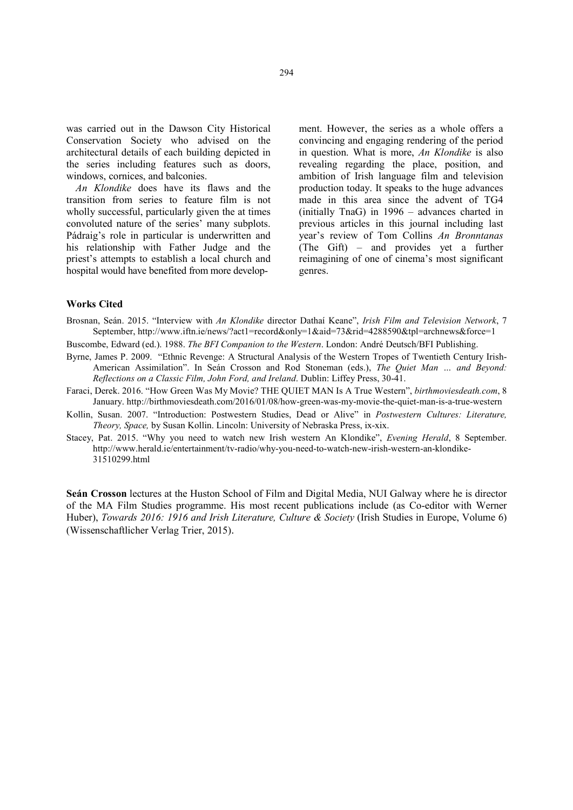was carried out in the Dawson City Historical Conservation Society who advised on the architectural details of each building depicted in the series including features such as doors, windows, cornices, and balconies.

*An Klondike* does have its flaws and the transition from series to feature film is not wholly successful, particularly given the at times convoluted nature of the series' many subplots. Pádraig's role in particular is underwritten and his relationship with Father Judge and the priest's attempts to establish a local church and hospital would have benefited from more development. However, the series as a whole offers a convincing and engaging rendering of the period in question. What is more, *An Klondike* is also revealing regarding the place, position, and ambition of Irish language film and television production today. It speaks to the huge advances made in this area since the advent of TG4 (initially TnaG) in 1996 – advances charted in previous articles in this journal including last year's review of Tom Collins *An Bronntanas* (The Gift) – and provides yet a further reimagining of one of cinema's most significant genres.

#### Works Cited

Brosnan, Seán. 2015. "Interview with *An Klondike* director Dathaí Keane", *Irish Film and Television Network*, 7 September, http://www.iftn.ie/news/?act1=record&only=1&aid=73&rid=4288590&tpl=archnews&force=1

- Buscombe, Edward (ed.). 1988. *The BFI Companion to the Western*. London: André Deutsch/BFI Publishing.
- Byrne, James P. 2009. "Ethnic Revenge: A Structural Analysis of the Western Tropes of Twentieth Century Irish-American Assimilation". In Seán Crosson and Rod Stoneman (eds.), *The Quiet Man … and Beyond: Reflections on a Classic Film, John Ford, and Ireland*. Dublin: Liffey Press, 30-41.
- Faraci, Derek. 2016. "How Green Was My Movie? THE QUIET MAN Is A True Western", *birthmoviesdeath.com*, 8 January. http://birthmoviesdeath.com/2016/01/08/how-green-was-my-movie-the-quiet-man-is-a-true-western
- Kollin, Susan. 2007. "Introduction: Postwestern Studies, Dead or Alive" in *Postwestern Cultures: Literature, Theory, Space,* by Susan Kollin. Lincoln: University of Nebraska Press, ix-xix.
- Stacey, Pat. 2015. "Why you need to watch new Irish western An Klondike", *Evening Herald*, 8 September. http://www.herald.ie/entertainment/tv-radio/why-you-need-to-watch-new-irish-western-an-klondike-31510299.html

Seán Crosson lectures at the Huston School of Film and Digital Media, NUI Galway where he is director of the MA Film Studies programme. His most recent publications include (as Co-editor with Werner Huber), *Towards 2016: 1916 and Irish Literature, Culture & Society* (Irish Studies in Europe, Volume 6) (Wissenschaftlicher Verlag Trier, 2015).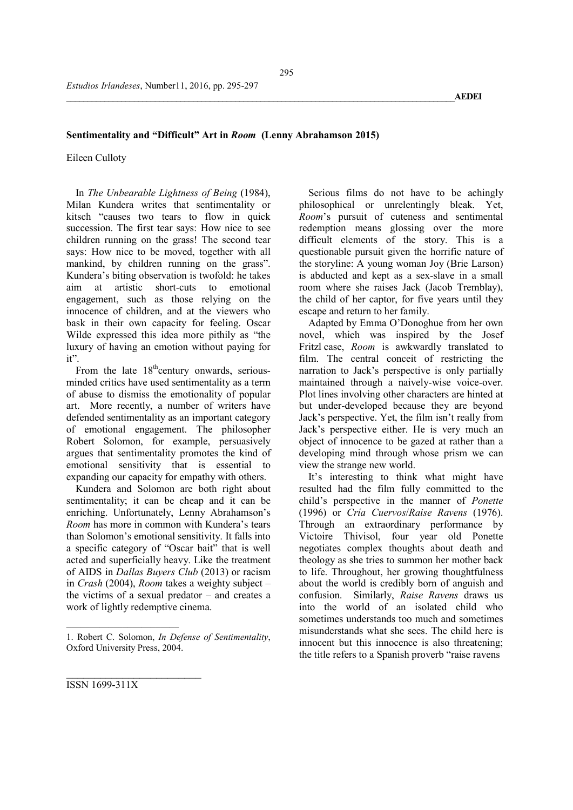## Sentimentality and "Difficult" Art in *Room* (Lenny Abrahamson 2015)

Eileen Culloty

In *The Unbearable Lightness of Being* (1984), Milan Kundera writes that sentimentality or kitsch "causes two tears to flow in quick succession. The first tear says: How nice to see children running on the grass! The second tear says: How nice to be moved, together with all mankind, by children running on the grass". Kundera's biting observation is twofold: he takes aim at artistic short-cuts to emotional engagement, such as those relying on the innocence of children, and at the viewers who bask in their own capacity for feeling. Oscar Wilde expressed this idea more pithily as "the luxury of having an emotion without paying for it".

From the late  $18<sup>th</sup>$ century onwards, seriousminded critics have used sentimentality as a term of abuse to dismiss the emotionality of popular art. More recently, a number of writers have defended sentimentality as an important category of emotional engagement. The philosopher Robert Solomon, for example, persuasively argues that sentimentality promotes the kind of emotional sensitivity that is essential to expanding our capacity for empathy with others.

Kundera and Solomon are both right about sentimentality; it can be cheap and it can be enriching. Unfortunately, Lenny Abrahamson's *Room* has more in common with Kundera's tears than Solomon's emotional sensitivity. It falls into a specific category of "Oscar bait" that is well acted and superficially heavy. Like the treatment of AIDS in *Dallas Buyers Club* (2013) or racism in *Crash* (2004), *Room* takes a weighty subject – the victims of a sexual predator – and creates a work of lightly redemptive cinema.

Serious films do not have to be achingly philosophical or unrelentingly bleak. Yet, *Room*'s pursuit of cuteness and sentimental redemption means glossing over the more difficult elements of the story. This is a questionable pursuit given the horrific nature of the storyline: A young woman Joy (Brie Larson) is abducted and kept as a sex-slave in a small room where she raises Jack (Jacob Tremblay), the child of her captor, for five years until they escape and return to her family.

Adapted by Emma O'Donoghue from her own novel, which was inspired by the Josef Fritzl case, *Room* is awkwardly translated to film. The central conceit of restricting the narration to Jack's perspective is only partially maintained through a naively-wise voice-over. Plot lines involving other characters are hinted at but under-developed because they are beyond Jack's perspective. Yet, the film isn't really from Jack's perspective either. He is very much an object of innocence to be gazed at rather than a developing mind through whose prism we can view the strange new world.

It's interesting to think what might have resulted had the film fully committed to the child's perspective in the manner of *Ponette* (1996) or *Cría Cuervos*/*Raise Ravens* (1976). Through an extraordinary performance by Victoire Thivisol, four year old Ponette negotiates complex thoughts about death and theology as she tries to summon her mother back to life. Throughout, her growing thoughtfulness about the world is credibly born of anguish and confusion. Similarly, *Raise Ravens* draws us into the world of an isolated child who sometimes understands too much and sometimes misunderstands what she sees. The child here is innocent but this innocence is also threatening; the title refers to a Spanish proverb "raise ravens

\_\_\_\_\_\_\_\_\_\_\_\_\_\_\_\_\_\_\_\_\_\_\_\_ ISSN 1699-311X

 $\overline{\phantom{a}}$  , where  $\overline{\phantom{a}}$  , where  $\overline{\phantom{a}}$  , where  $\overline{\phantom{a}}$ 

<sup>1.</sup> Robert C. Solomon, *In Defense of Sentimentality*, Oxford University Press, 2004.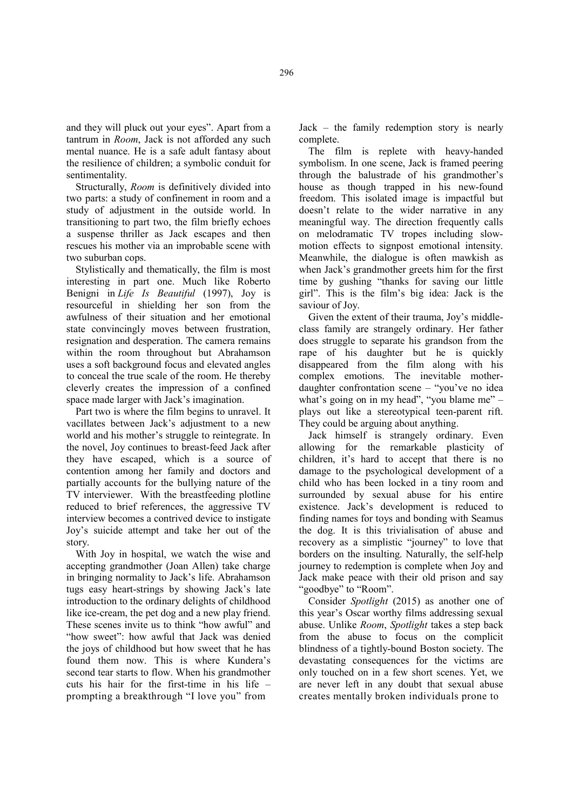and they will pluck out your eyes". Apart from a tantrum in *Room*, Jack is not afforded any such mental nuance. He is a safe adult fantasy about the resilience of children; a symbolic conduit for sentimentality.

Structurally, *Room* is definitively divided into two parts: a study of confinement in room and a study of adjustment in the outside world. In transitioning to part two, the film briefly echoes a suspense thriller as Jack escapes and then rescues his mother via an improbable scene with two suburban cops.

Stylistically and thematically, the film is most interesting in part one. Much like Roberto Benigni in *Life Is Beautiful* (1997), Joy is resourceful in shielding her son from the awfulness of their situation and her emotional state convincingly moves between frustration, resignation and desperation. The camera remains within the room throughout but Abrahamson uses a soft background focus and elevated angles to conceal the true scale of the room. He thereby cleverly creates the impression of a confined space made larger with Jack's imagination.

Part two is where the film begins to unravel. It vacillates between Jack's adjustment to a new world and his mother's struggle to reintegrate. In the novel, Joy continues to breast-feed Jack after they have escaped, which is a source of contention among her family and doctors and partially accounts for the bullying nature of the TV interviewer. With the breastfeeding plotline reduced to brief references, the aggressive TV interview becomes a contrived device to instigate Joy's suicide attempt and take her out of the story.

With Joy in hospital, we watch the wise and accepting grandmother (Joan Allen) take charge in bringing normality to Jack's life. Abrahamson tugs easy heart-strings by showing Jack's late introduction to the ordinary delights of childhood like ice-cream, the pet dog and a new play friend. These scenes invite us to think "how awful" and "how sweet": how awful that Jack was denied the joys of childhood but how sweet that he has found them now. This is where Kundera's second tear starts to flow. When his grandmother cuts his hair for the first-time in his life – prompting a breakthrough "I love you" from

Jack – the family redemption story is nearly complete.

The film is replete with heavy-handed symbolism. In one scene, Jack is framed peering through the balustrade of his grandmother's house as though trapped in his new-found freedom. This isolated image is impactful but doesn't relate to the wider narrative in any meaningful way. The direction frequently calls on melodramatic TV tropes including slowmotion effects to signpost emotional intensity. Meanwhile, the dialogue is often mawkish as when Jack's grandmother greets him for the first time by gushing "thanks for saving our little girl". This is the film's big idea: Jack is the saviour of Joy.

Given the extent of their trauma, Joy's middleclass family are strangely ordinary. Her father does struggle to separate his grandson from the rape of his daughter but he is quickly disappeared from the film along with his complex emotions. The inevitable motherdaughter confrontation scene – "you've no idea what's going on in my head", "you blame me" plays out like a stereotypical teen-parent rift. They could be arguing about anything.

Jack himself is strangely ordinary. Even allowing for the remarkable plasticity of children, it's hard to accept that there is no damage to the psychological development of a child who has been locked in a tiny room and surrounded by sexual abuse for his entire existence. Jack's development is reduced to finding names for toys and bonding with Seamus the dog. It is this trivialisation of abuse and recovery as a simplistic "journey" to love that borders on the insulting. Naturally, the self-help journey to redemption is complete when Joy and Jack make peace with their old prison and say "goodbye" to "Room".

Consider *Spotlight* (2015) as another one of this year's Oscar worthy films addressing sexual abuse. Unlike *Room*, *Spotlight* takes a step back from the abuse to focus on the complicit blindness of a tightly-bound Boston society. The devastating consequences for the victims are only touched on in a few short scenes. Yet, we are never left in any doubt that sexual abuse creates mentally broken individuals prone to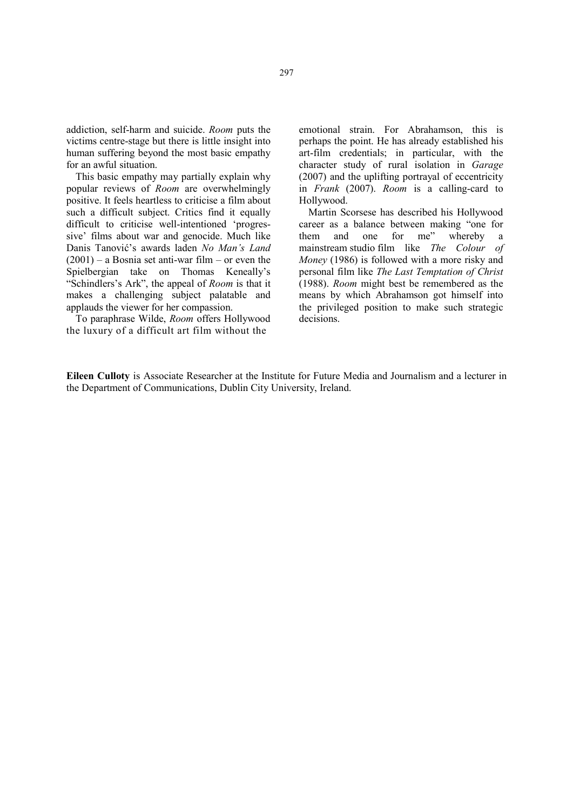addiction, self-harm and suicide. *Room* puts the victims centre-stage but there is little insight into human suffering beyond the most basic empathy for an awful situation.

This basic empathy may partially explain why popular reviews of *Room* are overwhelmingly positive. It feels heartless to criticise a film about such a difficult subject. Critics find it equally difficult to criticise well-intentioned 'progressive' films about war and genocide. Much like Danis Tanović's awards laden *No Man's Land*  $(2001)$  – a Bosnia set anti-war film – or even the Spielbergian take on Thomas Keneally's "Schindlers's Ark", the appeal of *Room* is that it makes a challenging subject palatable and applauds the viewer for her compassion.

To paraphrase Wilde, *Room* offers Hollywood the luxury of a difficult art film without the

emotional strain. For Abrahamson, this is perhaps the point. He has already established his art-film credentials; in particular, with the character study of rural isolation in *Garage* (2007) and the uplifting portrayal of eccentricity in *Frank* (2007). *Room* is a calling-card to Hollywood.

Martin Scorsese has described his Hollywood career as a balance between making "one for them and one for me" whereby a mainstream studio film like *The Colour of Money* (1986) is followed with a more risky and personal film like *The Last Temptation of Christ*  (1988). *Room* might best be remembered as the means by which Abrahamson got himself into the privileged position to make such strategic decisions.

Eileen Culloty is Associate Researcher at the Institute for Future Media and Journalism and a lecturer in the Department of Communications, Dublin City University, Ireland.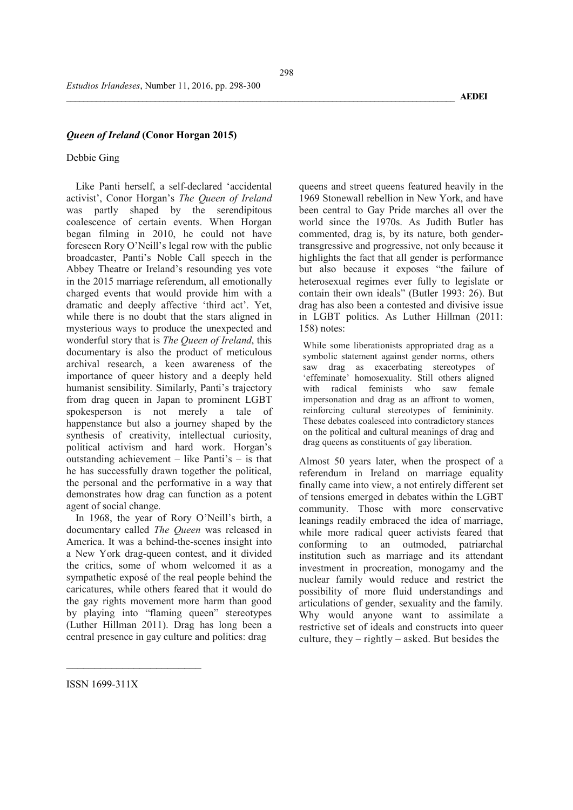## *Queen of Ireland* (Conor Horgan 2015)

## Debbie Ging

Like Panti herself, a self-declared 'accidental activist', Conor Horgan's *The Queen of Ireland* was partly shaped by the serendipitous coalescence of certain events. When Horgan began filming in 2010, he could not have foreseen Rory O'Neill's legal row with the public broadcaster, Panti's Noble Call speech in the Abbey Theatre or Ireland's resounding yes vote in the 2015 marriage referendum, all emotionally charged events that would provide him with a dramatic and deeply affective 'third act'. Yet, while there is no doubt that the stars aligned in mysterious ways to produce the unexpected and wonderful story that is *The Queen of Ireland*, this documentary is also the product of meticulous archival research, a keen awareness of the importance of queer history and a deeply held humanist sensibility. Similarly, Panti's trajectory from drag queen in Japan to prominent LGBT spokesperson is not merely a tale of happenstance but also a journey shaped by the synthesis of creativity, intellectual curiosity, political activism and hard work. Horgan's outstanding achievement – like Panti's – is that he has successfully drawn together the political, the personal and the performative in a way that demonstrates how drag can function as a potent agent of social change.

In 1968, the year of Rory O'Neill's birth, a documentary called *The Queen* was released in America. It was a behind-the-scenes insight into a New York drag-queen contest, and it divided the critics, some of whom welcomed it as a sympathetic exposé of the real people behind the caricatures, while others feared that it would do the gay rights movement more harm than good by playing into "flaming queen" stereotypes (Luther Hillman 2011). Drag has long been a central presence in gay culture and politics: drag

queens and street queens featured heavily in the 1969 Stonewall rebellion in New York, and have been central to Gay Pride marches all over the world since the 1970s. As Judith Butler has commented, drag is, by its nature, both gendertransgressive and progressive, not only because it highlights the fact that all gender is performance but also because it exposes "the failure of heterosexual regimes ever fully to legislate or contain their own ideals" (Butler 1993: 26). But drag has also been a contested and divisive issue in LGBT politics. As Luther Hillman (2011: 158) notes:

While some liberationists appropriated drag as a symbolic statement against gender norms, others saw drag as exacerbating stereotypes of 'effeminate' homosexuality. Still others aligned with radical feminists who saw female impersonation and drag as an affront to women, reinforcing cultural stereotypes of femininity. These debates coalesced into contradictory stances on the political and cultural meanings of drag and drag queens as constituents of gay liberation.

Almost 50 years later, when the prospect of a referendum in Ireland on marriage equality finally came into view, a not entirely different set of tensions emerged in debates within the LGBT community. Those with more conservative leanings readily embraced the idea of marriage, while more radical queer activists feared that conforming to an outmoded, patriarchal institution such as marriage and its attendant investment in procreation, monogamy and the nuclear family would reduce and restrict the possibility of more fluid understandings and articulations of gender, sexuality and the family. Why would anyone want to assimilate a restrictive set of ideals and constructs into queer culture, they  $-$  rightly  $-$  asked. But besides the

ISSN 1699-311X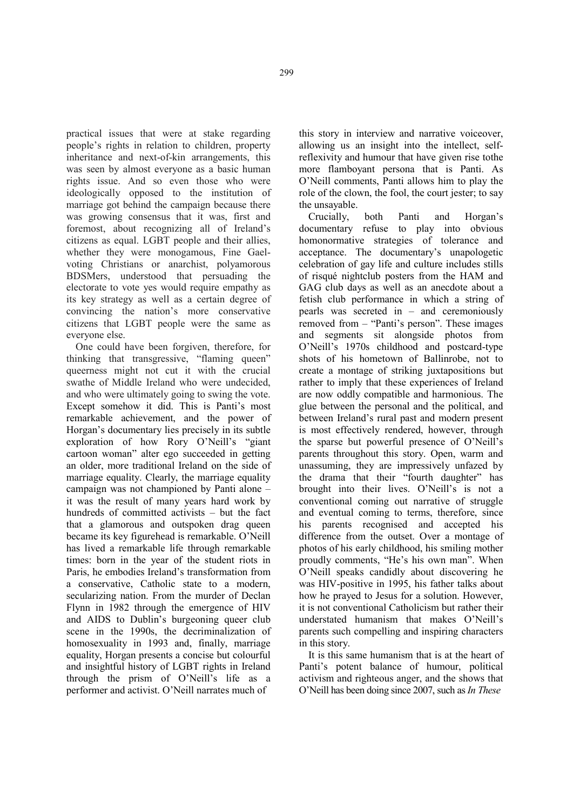practical issues that were at stake regarding people's rights in relation to children, property inheritance and next-of-kin arrangements, this was seen by almost everyone as a basic human rights issue. And so even those who were ideologically opposed to the institution of marriage got behind the campaign because there was growing consensus that it was, first and foremost, about recognizing all of Ireland's citizens as equal. LGBT people and their allies, whether they were monogamous, Fine Gaelvoting Christians or anarchist, polyamorous BDSMers, understood that persuading the electorate to vote yes would require empathy as its key strategy as well as a certain degree of convincing the nation's more conservative citizens that LGBT people were the same as everyone else.

One could have been forgiven, therefore, for thinking that transgressive, "flaming queen" queerness might not cut it with the crucial swathe of Middle Ireland who were undecided, and who were ultimately going to swing the vote. Except somehow it did. This is Panti's most remarkable achievement, and the power of Horgan's documentary lies precisely in its subtle exploration of how Rory O'Neill's "giant cartoon woman" alter ego succeeded in getting an older, more traditional Ireland on the side of marriage equality. Clearly, the marriage equality campaign was not championed by Panti alone – it was the result of many years hard work by hundreds of committed activists – but the fact that a glamorous and outspoken drag queen became its key figurehead is remarkable. O'Neill has lived a remarkable life through remarkable times: born in the year of the student riots in Paris, he embodies Ireland's transformation from a conservative, Catholic state to a modern, secularizing nation. From the murder of Declan Flynn in 1982 through the emergence of HIV and AIDS to Dublin's burgeoning queer club scene in the 1990s, the decriminalization of homosexuality in 1993 and, finally, marriage equality, Horgan presents a concise but colourful and insightful history of LGBT rights in Ireland through the prism of O'Neill's life as a performer and activist. O'Neill narrates much of

this story in interview and narrative voiceover, allowing us an insight into the intellect, selfreflexivity and humour that have given rise tothe more flamboyant persona that is Panti. As O'Neill comments, Panti allows him to play the role of the clown, the fool, the court jester; to say the unsayable.

Crucially, both Panti and Horgan's documentary refuse to play into obvious homonormative strategies of tolerance and acceptance. The documentary's unapologetic celebration of gay life and culture includes stills of risqué nightclub posters from the HAM and GAG club days as well as an anecdote about a fetish club performance in which a string of pearls was secreted in – and ceremoniously removed from – "Panti's person". These images and segments sit alongside photos from O'Neill's 1970s childhood and postcard-type shots of his hometown of Ballinrobe, not to create a montage of striking juxtapositions but rather to imply that these experiences of Ireland are now oddly compatible and harmonious. The glue between the personal and the political, and between Ireland's rural past and modern present is most effectively rendered, however, through the sparse but powerful presence of O'Neill's parents throughout this story. Open, warm and unassuming, they are impressively unfazed by the drama that their "fourth daughter" has brought into their lives. O'Neill's is not a conventional coming out narrative of struggle and eventual coming to terms, therefore, since his parents recognised and accepted his difference from the outset. Over a montage of photos of his early childhood, his smiling mother proudly comments, "He's his own man". When O'Neill speaks candidly about discovering he was HIV-positive in 1995, his father talks about how he prayed to Jesus for a solution. However, it is not conventional Catholicism but rather their understated humanism that makes O'Neill's parents such compelling and inspiring characters in this story.

It is this same humanism that is at the heart of Panti's potent balance of humour, political activism and righteous anger, and the shows that O'Neill has been doing since 2007, such as *In These*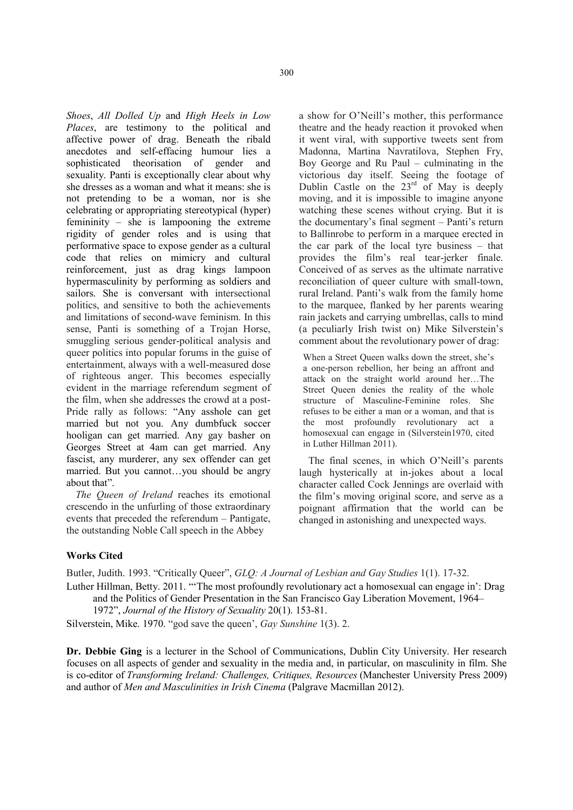*Shoes*, *All Dolled Up* and *High Heels in Low Places*, are testimony to the political and affective power of drag. Beneath the ribald anecdotes and self-effacing humour lies a sophisticated theorisation of gender and sexuality. Panti is exceptionally clear about why she dresses as a woman and what it means: she is not pretending to be a woman, nor is she celebrating or appropriating stereotypical (hyper) femininity – she is lampooning the extreme rigidity of gender roles and is using that performative space to expose gender as a cultural code that relies on mimicry and cultural reinforcement, just as drag kings lampoon hypermasculinity by performing as soldiers and sailors. She is conversant with intersectional politics, and sensitive to both the achievements and limitations of second-wave feminism. In this sense, Panti is something of a Trojan Horse, smuggling serious gender-political analysis and queer politics into popular forums in the guise of entertainment, always with a well-measured dose of righteous anger. This becomes especially evident in the marriage referendum segment of the film, when she addresses the crowd at a post-Pride rally as follows: "Any asshole can get married but not you. Any dumbfuck soccer hooligan can get married. Any gay basher on Georges Street at 4am can get married. Any fascist, any murderer, any sex offender can get married. But you cannot…you should be angry about that".

*The Queen of Ireland* reaches its emotional crescendo in the unfurling of those extraordinary events that preceded the referendum – Pantigate, the outstanding Noble Call speech in the Abbey

a show for O'Neill's mother, this performance theatre and the heady reaction it provoked when it went viral, with supportive tweets sent from Madonna, Martina Navratilova, Stephen Fry, Boy George and Ru Paul – culminating in the victorious day itself. Seeing the footage of Dublin Castle on the  $23<sup>rd</sup>$  of May is deeply moving, and it is impossible to imagine anyone watching these scenes without crying. But it is the documentary's final segment – Panti's return to Ballinrobe to perform in a marquee erected in the car park of the local tyre business – that provides the film's real tear-jerker finale. Conceived of as serves as the ultimate narrative reconciliation of queer culture with small-town, rural Ireland. Panti's walk from the family home to the marquee, flanked by her parents wearing rain jackets and carrying umbrellas, calls to mind (a peculiarly Irish twist on) Mike Silverstein's comment about the revolutionary power of drag:

When a Street Queen walks down the street, she's a one-person rebellion, her being an affront and attack on the straight world around her…The Street Queen denies the reality of the whole structure of Masculine-Feminine roles. She refuses to be either a man or a woman, and that is the most profoundly revolutionary act a homosexual can engage in (Silverstein1970, cited in Luther Hillman 2011).

The final scenes, in which O'Neill's parents laugh hysterically at in-jokes about a local character called Cock Jennings are overlaid with the film's moving original score, and serve as a poignant affirmation that the world can be changed in astonishing and unexpected ways.

## Works Cited

Butler, Judith. 1993. "Critically Queer", *GLQ: A Journal of Lesbian and Gay Studies* 1(1). 17-32.

Luther Hillman, Betty. 2011. "'The most profoundly revolutionary act a homosexual can engage in': Drag and the Politics of Gender Presentation in the San Francisco Gay Liberation Movement, 1964–

1972", *Journal of the History of Sexuality* 20(1). 153-81.

Silverstein, Mike. 1970. "god save the queen', *Gay Sunshine* 1(3). 2.

Dr. Debbie Ging is a lecturer in the School of Communications, Dublin City University. Her research focuses on all aspects of gender and sexuality in the media and, in particular, on masculinity in film. She is co-editor of *Transforming Ireland: Challenges, Critiques, Resources* (Manchester University Press 2009) and author of *Men and Masculinities in Irish Cinema* (Palgrave Macmillan 2012).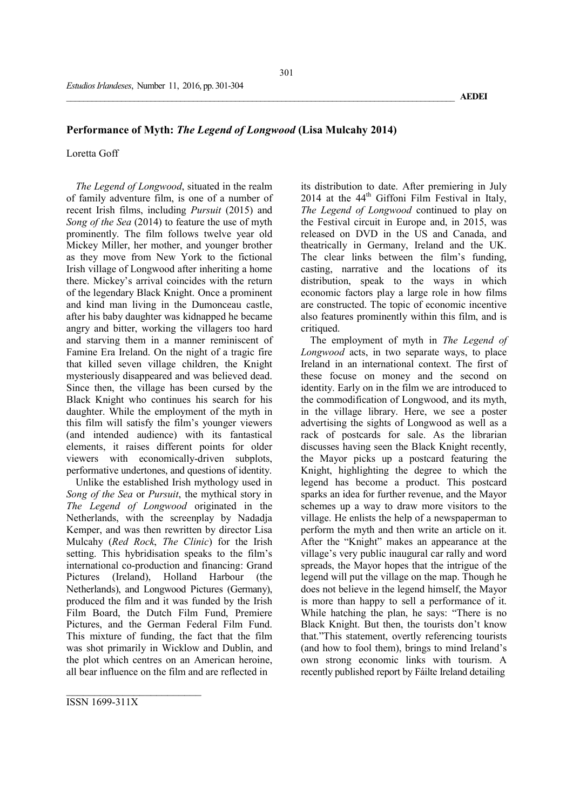## Performance of Myth: *The Legend of Longwood* (Lisa Mulcahy 2014)

Loretta Goff

*The Legend of Longwood*, situated in the realm of family adventure film, is one of a number of recent Irish films, including *Pursuit* (2015) and *Song of the Sea* (2014) to feature the use of myth prominently. The film follows twelve year old Mickey Miller, her mother, and younger brother as they move from New York to the fictional Irish village of Longwood after inheriting a home there. Mickey's arrival coincides with the return of the legendary Black Knight. Once a prominent and kind man living in the Dumonceau castle, after his baby daughter was kidnapped he became angry and bitter, working the villagers too hard and starving them in a manner reminiscent of Famine Era Ireland. On the night of a tragic fire that killed seven village children, the Knight mysteriously disappeared and was believed dead. Since then, the village has been cursed by the Black Knight who continues his search for his daughter. While the employment of the myth in this film will satisfy the film's younger viewers (and intended audience) with its fantastical elements, it raises different points for older viewers with economically-driven subplots, performative undertones, and questions of identity.

Unlike the established Irish mythology used in *Song of the Sea* or *Pursuit*, the mythical story in *The Legend of Longwood* originated in the Netherlands, with the screenplay by Nadadja Kemper, and was then rewritten by director Lisa Mulcahy (*Red Rock*, *The Clinic*) for the Irish setting. This hybridisation speaks to the film's international co-production and financing: Grand Pictures (Ireland), Holland Harbour (the Netherlands), and Longwood Pictures (Germany), produced the film and it was funded by the Irish Film Board, the Dutch Film Fund, Premiere Pictures, and the German Federal Film Fund. This mixture of funding, the fact that the film was shot primarily in Wicklow and Dublin, and the plot which centres on an American heroine, all bear influence on the film and are reflected in

its distribution to date. After premiering in July 2014 at the  $44<sup>th</sup>$  Giffoni Film Festival in Italy, *The Legend of Longwood* continued to play on the Festival circuit in Europe and, in 2015, was released on DVD in the US and Canada, and theatrically in Germany, Ireland and the UK. The clear links between the film's funding, casting, narrative and the locations of its distribution, speak to the ways in which economic factors play a large role in how films are constructed. The topic of economic incentive also features prominently within this film, and is critiqued.

The employment of myth in *The Legend of Longwood* acts, in two separate ways, to place Ireland in an international context. The first of these focuse on money and the second on identity. Early on in the film we are introduced to the commodification of Longwood, and its myth, in the village library. Here, we see a poster advertising the sights of Longwood as well as a rack of postcards for sale. As the librarian discusses having seen the Black Knight recently, the Mayor picks up a postcard featuring the Knight, highlighting the degree to which the legend has become a product. This postcard sparks an idea for further revenue, and the Mayor schemes up a way to draw more visitors to the village. He enlists the help of a newspaperman to perform the myth and then write an article on it. After the "Knight" makes an appearance at the village's very public inaugural car rally and word spreads, the Mayor hopes that the intrigue of the legend will put the village on the map. Though he does not believe in the legend himself, the Mayor is more than happy to sell a performance of it. While hatching the plan, he says: "There is no Black Knight. But then, the tourists don't know that."This statement, overtly referencing tourists (and how to fool them), brings to mind Ireland's own strong economic links with tourism. A recently published report by Fáilte Ireland detailing

ISSN 1699-311X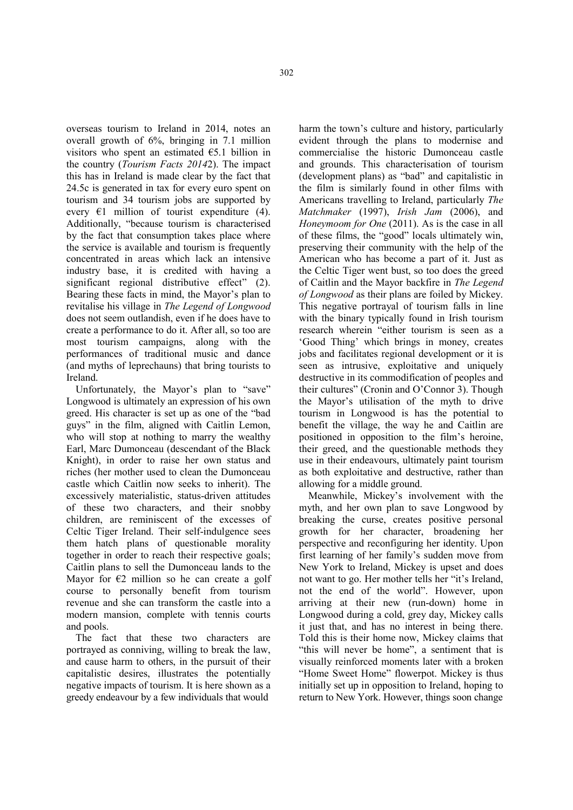overseas tourism to Ireland in 2014, notes an overall growth of 6%, bringing in 7.1 million visitors who spent an estimated €5.1 billion in the country (*Tourism Facts 2014*2). The impact this has in Ireland is made clear by the fact that 24.5c is generated in tax for every euro spent on tourism and 34 tourism jobs are supported by every  $E1$  million of tourist expenditure (4). Additionally, "because tourism is characterised by the fact that consumption takes place where the service is available and tourism is frequently concentrated in areas which lack an intensive industry base, it is credited with having a significant regional distributive effect" (2). Bearing these facts in mind, the Mayor's plan to revitalise his village in *The Legend of Longwood*  does not seem outlandish, even if he does have to create a performance to do it. After all, so too are most tourism campaigns, along with the performances of traditional music and dance (and myths of leprechauns) that bring tourists to Ireland.

Unfortunately, the Mayor's plan to "save" Longwood is ultimately an expression of his own greed. His character is set up as one of the "bad guys" in the film, aligned with Caitlin Lemon, who will stop at nothing to marry the wealthy Earl, Marc Dumonceau (descendant of the Black Knight), in order to raise her own status and riches (her mother used to clean the Dumonceau castle which Caitlin now seeks to inherit). The excessively materialistic, status-driven attitudes of these two characters, and their snobby children, are reminiscent of the excesses of Celtic Tiger Ireland. Their self-indulgence sees them hatch plans of questionable morality together in order to reach their respective goals; Caitlin plans to sell the Dumonceau lands to the Mayor for  $E2$  million so he can create a golf course to personally benefit from tourism revenue and she can transform the castle into a modern mansion, complete with tennis courts and pools.

The fact that these two characters are portrayed as conniving, willing to break the law, and cause harm to others, in the pursuit of their capitalistic desires, illustrates the potentially negative impacts of tourism. It is here shown as a greedy endeavour by a few individuals that would

harm the town's culture and history, particularly evident through the plans to modernise and commercialise the historic Dumonceau castle and grounds. This characterisation of tourism (development plans) as "bad" and capitalistic in the film is similarly found in other films with Americans travelling to Ireland, particularly *The Matchmaker* (1997), *Irish Jam* (2006), and *Honeymoom for One* (2011). As is the case in all of these films, the "good" locals ultimately win, preserving their community with the help of the American who has become a part of it. Just as the Celtic Tiger went bust, so too does the greed of Caitlin and the Mayor backfire in *The Legend of Longwood* as their plans are foiled by Mickey. This negative portrayal of tourism falls in line with the binary typically found in Irish tourism research wherein "either tourism is seen as a 'Good Thing' which brings in money, creates jobs and facilitates regional development or it is seen as intrusive, exploitative and uniquely destructive in its commodification of peoples and their cultures" (Cronin and O'Connor 3). Though the Mayor's utilisation of the myth to drive tourism in Longwood is has the potential to benefit the village, the way he and Caitlin are positioned in opposition to the film's heroine, their greed, and the questionable methods they use in their endeavours, ultimately paint tourism as both exploitative and destructive, rather than allowing for a middle ground.

Meanwhile, Mickey's involvement with the myth, and her own plan to save Longwood by breaking the curse, creates positive personal growth for her character, broadening her perspective and reconfiguring her identity. Upon first learning of her family's sudden move from New York to Ireland, Mickey is upset and does not want to go. Her mother tells her "it's Ireland, not the end of the world". However, upon arriving at their new (run-down) home in Longwood during a cold, grey day, Mickey calls it just that, and has no interest in being there. Told this is their home now, Mickey claims that "this will never be home", a sentiment that is visually reinforced moments later with a broken "Home Sweet Home" flowerpot. Mickey is thus initially set up in opposition to Ireland, hoping to return to New York. However, things soon change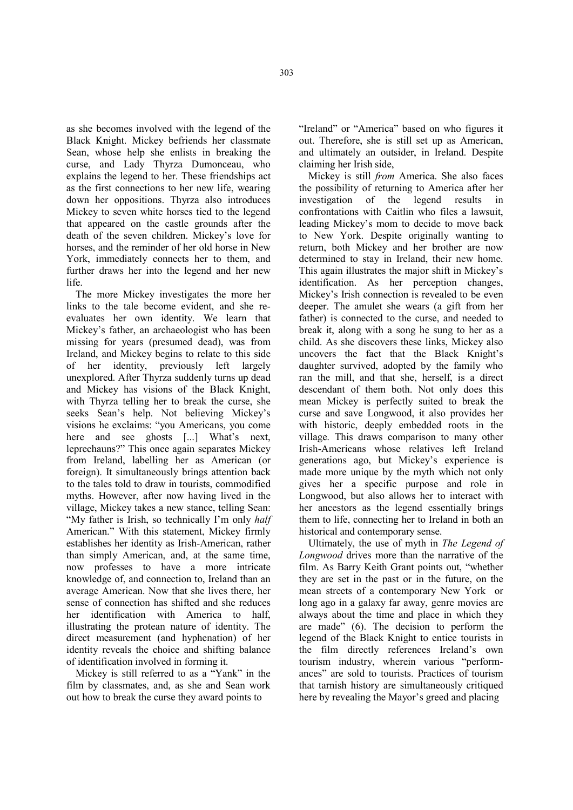as she becomes involved with the legend of the Black Knight. Mickey befriends her classmate Sean, whose help she enlists in breaking the curse, and Lady Thyrza Dumonceau, who explains the legend to her. These friendships act as the first connections to her new life, wearing down her oppositions. Thyrza also introduces Mickey to seven white horses tied to the legend that appeared on the castle grounds after the death of the seven children. Mickey's love for horses, and the reminder of her old horse in New York, immediately connects her to them, and further draws her into the legend and her new life.

The more Mickey investigates the more her links to the tale become evident, and she reevaluates her own identity. We learn that Mickey's father, an archaeologist who has been missing for years (presumed dead), was from Ireland, and Mickey begins to relate to this side of her identity, previously left largely unexplored. After Thyrza suddenly turns up dead and Mickey has visions of the Black Knight, with Thyrza telling her to break the curse, she seeks Sean's help. Not believing Mickey's visions he exclaims: "you Americans, you come here and see ghosts [...] What's next, leprechauns?" This once again separates Mickey from Ireland, labelling her as American (or foreign). It simultaneously brings attention back to the tales told to draw in tourists, commodified myths. However, after now having lived in the village, Mickey takes a new stance, telling Sean: "My father is Irish, so technically I'm only *half* American." With this statement, Mickey firmly establishes her identity as Irish-American, rather than simply American, and, at the same time, now professes to have a more intricate knowledge of, and connection to, Ireland than an average American. Now that she lives there, her sense of connection has shifted and she reduces her identification with America to half, illustrating the protean nature of identity. The direct measurement (and hyphenation) of her identity reveals the choice and shifting balance of identification involved in forming it.

Mickey is still referred to as a "Yank" in the film by classmates, and, as she and Sean work out how to break the curse they award points to

"Ireland" or "America" based on who figures it out. Therefore, she is still set up as American, and ultimately an outsider, in Ireland. Despite claiming her Irish side,

Mickey is still *from* America. She also faces the possibility of returning to America after her investigation of the legend results in confrontations with Caitlin who files a lawsuit, leading Mickey's mom to decide to move back to New York. Despite originally wanting to return, both Mickey and her brother are now determined to stay in Ireland, their new home. This again illustrates the major shift in Mickey's identification. As her perception changes, Mickey's Irish connection is revealed to be even deeper. The amulet she wears (a gift from her father) is connected to the curse, and needed to break it, along with a song he sung to her as a child. As she discovers these links, Mickey also uncovers the fact that the Black Knight's daughter survived, adopted by the family who ran the mill, and that she, herself, is a direct descendant of them both. Not only does this mean Mickey is perfectly suited to break the curse and save Longwood, it also provides her with historic, deeply embedded roots in the village. This draws comparison to many other Irish-Americans whose relatives left Ireland generations ago, but Mickey's experience is made more unique by the myth which not only gives her a specific purpose and role in Longwood, but also allows her to interact with her ancestors as the legend essentially brings them to life, connecting her to Ireland in both an historical and contemporary sense.

Ultimately, the use of myth in *The Legend of Longwood* drives more than the narrative of the film. As Barry Keith Grant points out, "whether they are set in the past or in the future, on the mean streets of a contemporary New York or long ago in a galaxy far away, genre movies are always about the time and place in which they are made" (6). The decision to perform the legend of the Black Knight to entice tourists in the film directly references Ireland's own tourism industry, wherein various "performances" are sold to tourists. Practices of tourism that tarnish history are simultaneously critiqued here by revealing the Mayor's greed and placing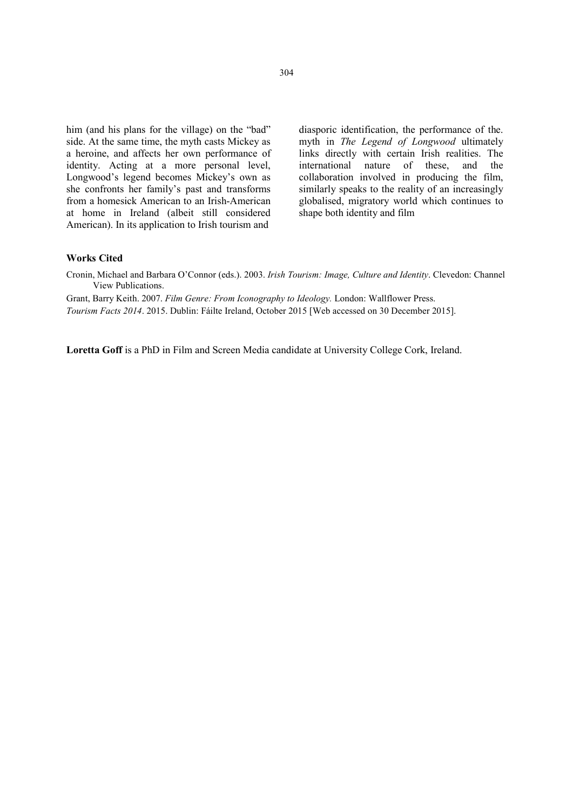him (and his plans for the village) on the "bad" side. At the same time, the myth casts Mickey as a heroine, and affects her own performance of identity. Acting at a more personal level, Longwood's legend becomes Mickey's own as she confronts her family's past and transforms from a homesick American to an Irish-American at home in Ireland (albeit still considered American). In its application to Irish tourism and

diasporic identification, the performance of the. myth in *The Legend of Longwood* ultimately links directly with certain Irish realities. The international nature of these, and the collaboration involved in producing the film, similarly speaks to the reality of an increasingly globalised, migratory world which continues to shape both identity and film

## Works Cited

Cronin, Michael and Barbara O'Connor (eds.). 2003. *Irish Tourism: Image, Culture and Identity*. Clevedon: Channel View Publications.

Grant, Barry Keith. 2007. *Film Genre: From Iconography to Ideology.* London: Wallflower Press. *Tourism Facts 2014*. 2015. Dublin: Fáilte Ireland, October 2015 [Web accessed on 30 December 2015].

Loretta Goff is a PhD in Film and Screen Media candidate at University College Cork, Ireland.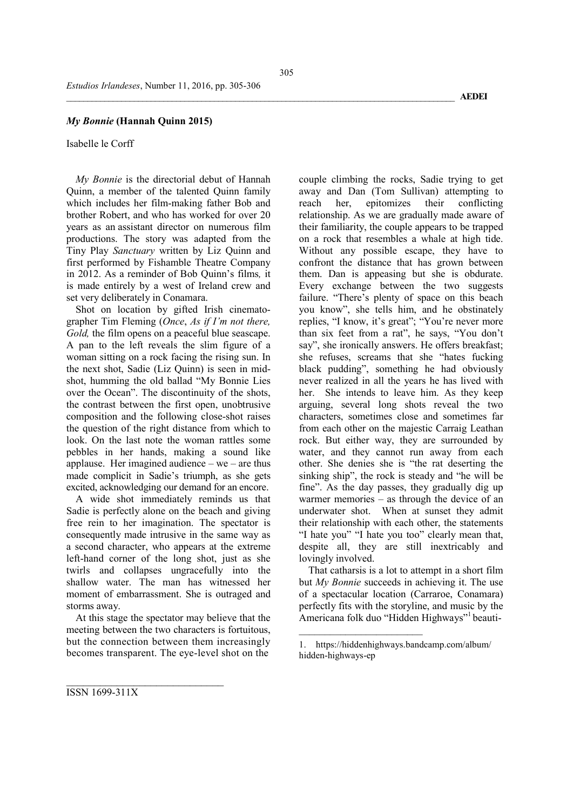#### *My Bonnie* (Hannah Quinn 2015)

Isabelle le Corff

*My Bonnie* is the directorial debut of Hannah Quinn, a member of the talented Quinn family which includes her film-making father Bob and brother Robert, and who has worked for over 20 years as an assistant director on numerous film productions. The story was adapted from the Tiny Play *Sanctuary* written by Liz Quinn and first performed by Fishamble Theatre Company in 2012. As a reminder of Bob Quinn's films*,* it is made entirely by a west of Ireland crew and set very deliberately in Conamara.

Shot on location by gifted Irish cinematographer Tim Fleming (*Once*, *As if I'm not there, Gold*, the film opens on a peaceful blue seascape. A pan to the left reveals the slim figure of a woman sitting on a rock facing the rising sun. In the next shot, Sadie (Liz Quinn) is seen in midshot, humming the old ballad "My Bonnie Lies over the Ocean". The discontinuity of the shots, the contrast between the first open, unobtrusive composition and the following close-shot raises the question of the right distance from which to look. On the last note the woman rattles some pebbles in her hands, making a sound like applause. Her imagined audience – we – are thus made complicit in Sadie's triumph, as she gets excited, acknowledging our demand for an encore.

A wide shot immediately reminds us that Sadie is perfectly alone on the beach and giving free rein to her imagination. The spectator is consequently made intrusive in the same way as a second character, who appears at the extreme left-hand corner of the long shot, just as she twirls and collapses ungracefully into the shallow water. The man has witnessed her moment of embarrassment. She is outraged and storms away.

At this stage the spectator may believe that the meeting between the two characters is fortuitous, but the connection between them increasingly becomes transparent. The eye-level shot on the

\_\_\_\_\_\_\_\_\_\_\_\_\_\_\_\_\_\_\_\_\_\_\_\_\_\_\_\_

couple climbing the rocks, Sadie trying to get away and Dan (Tom Sullivan) attempting to reach her, epitomizes their conflicting relationship. As we are gradually made aware of their familiarity, the couple appears to be trapped on a rock that resembles a whale at high tide. Without any possible escape, they have to confront the distance that has grown between them. Dan is appeasing but she is obdurate. Every exchange between the two suggests failure. "There's plenty of space on this beach you know", she tells him, and he obstinately replies, "I know, it's great"; "You're never more than six feet from a rat", he says, "You don't say", she ironically answers. He offers breakfast; she refuses, screams that she "hates fucking black pudding", something he had obviously never realized in all the years he has lived with her. She intends to leave him. As they keep arguing, several long shots reveal the two characters, sometimes close and sometimes far from each other on the majestic Carraig Leathan rock. But either way, they are surrounded by water, and they cannot run away from each other. She denies she is "the rat deserting the sinking ship", the rock is steady and "he will be fine". As the day passes, they gradually dig up warmer memories – as through the device of an underwater shot. When at sunset they admit their relationship with each other, the statements "I hate you" "I hate you too" clearly mean that, despite all, they are still inextricably and lovingly involved.

That catharsis is a lot to attempt in a short film but *My Bonnie* succeeds in achieving it. The use of a spectacular location (Carraroe, Conamara) perfectly fits with the storyline, and music by the Americana folk duo "Hidden Highways"<sup>1</sup> beauti-

 $\overline{\phantom{a}}$ 

ISSN 1699-311X

<sup>1.</sup> https://hiddenhighways.bandcamp.com/album/ hidden-highways-ep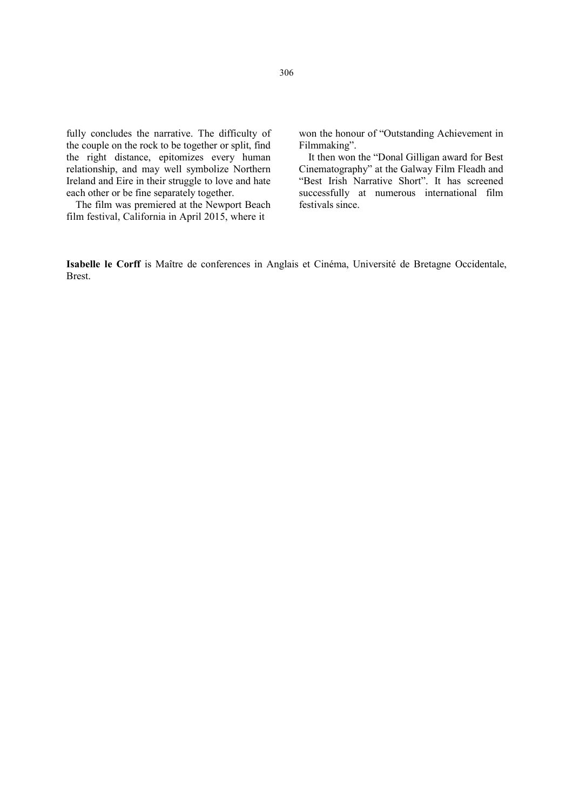fully concludes the narrative. The difficulty of the couple on the rock to be together or split, find the right distance, epitomizes every human relationship, and may well symbolize Northern Ireland and Eire in their struggle to love and hate each other or be fine separately together.

The film was premiered at the Newport Beach film festival, California in April 2015, where it

won the honour of "Outstanding Achievement in Filmmaking".

It then won the "Donal Gilligan award for Best Cinematography" at the Galway Film Fleadh and "Best Irish Narrative Short". It has screened successfully at numerous international film festivals since.

Isabelle le Corff is Maître de conferences in Anglais et Cinéma, Université de Bretagne Occidentale, Brest.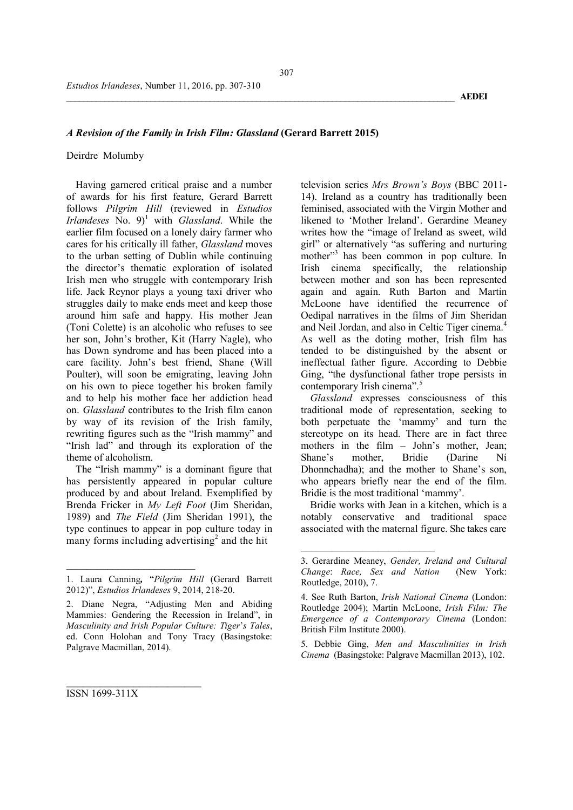## *A Revision of the Family in Irish Film: Glassland* (Gerard Barrett 2015)

#### Deirdre Molumby

Having garnered critical praise and a number of awards for his first feature, Gerard Barrett follows *Pilgrim Hill* (reviewed in *Estudios*   $I$ rlandeses  $\overline{N}$ o. 9)<sup>1</sup> with *Glassland*. While the earlier film focused on a lonely dairy farmer who cares for his critically ill father, *Glassland* moves to the urban setting of Dublin while continuing the director's thematic exploration of isolated Irish men who struggle with contemporary Irish life. Jack Reynor plays a young taxi driver who struggles daily to make ends meet and keep those around him safe and happy. His mother Jean (Toni Colette) is an alcoholic who refuses to see her son, John's brother, Kit (Harry Nagle), who has Down syndrome and has been placed into a care facility. John's best friend, Shane (Will Poulter), will soon be emigrating, leaving John on his own to piece together his broken family and to help his mother face her addiction head on. *Glassland* contributes to the Irish film canon by way of its revision of the Irish family, rewriting figures such as the "Irish mammy" and "Irish lad" and through its exploration of the theme of alcoholism.

The "Irish mammy" is a dominant figure that has persistently appeared in popular culture produced by and about Ireland. Exemplified by Brenda Fricker in *My Left Foot* (Jim Sheridan, 1989) and *The Field* (Jim Sheridan 1991), the type continues to appear in pop culture today in many forms including advertising<sup>2</sup> and the hit

 $\overline{\phantom{a}}$  , where  $\overline{\phantom{a}}$ 

\_\_\_\_\_\_\_\_\_\_\_\_\_\_\_\_\_\_\_\_\_\_\_\_

television series *Mrs Brown's Boys* (BBC 2011- 14). Ireland as a country has traditionally been feminised, associated with the Virgin Mother and likened to 'Mother Ireland'. Gerardine Meaney writes how the "image of Ireland as sweet, wild girl" or alternatively "as suffering and nurturing mother"<sup>3</sup> has been common in pop culture. In Irish cinema specifically, the relationship between mother and son has been represented again and again. Ruth Barton and Martin McLoone have identified the recurrence of Oedipal narratives in the films of Jim Sheridan and Neil Jordan, and also in Celtic Tiger cinema.<sup>4</sup> As well as the doting mother, Irish film has tended to be distinguished by the absent or ineffectual father figure. According to Debbie Ging, "the dysfunctional father trope persists in contemporary Irish cinema".<sup>5</sup>

*Glassland* expresses consciousness of this traditional mode of representation, seeking to both perpetuate the 'mammy' and turn the stereotype on its head. There are in fact three mothers in the film – John's mother, Jean;<br>Shane's mother. Bridie (Darine Ni (Darine Ní Dhonnchadha); and the mother to Shane's son, who appears briefly near the end of the film. Bridie is the most traditional 'mammy'.

Bridie works with Jean in a kitchen, which is a notably conservative and traditional space associated with the maternal figure. She takes care

 $\overline{\phantom{a}}$  , where  $\overline{\phantom{a}}$ 

5. Debbie Ging, *Men and Masculinities in Irish Cinema* (Basingstoke: Palgrave Macmillan 2013), 102.

\_\_\_\_\_\_\_\_\_\_\_\_\_\_\_\_\_\_\_\_\_\_\_\_\_\_\_\_\_\_\_\_\_\_\_\_\_\_\_\_\_\_\_\_\_\_\_\_\_\_\_\_\_\_\_\_\_\_\_\_\_\_\_\_\_\_\_\_\_\_\_\_\_\_\_\_\_\_\_\_\_\_\_\_\_\_\_\_\_\_\_\_ AEDEI

ISSN 1699-311X

<sup>1.</sup> Laura Canning*,* "*Pilgrim Hill* (Gerard Barrett 2012)", *Estudios Irlandeses* 9, 2014, 218-20.

<sup>2.</sup> Diane Negra, "Adjusting Men and Abiding Mammies: Gendering the Recession in Ireland", in *Masculinity and Irish Popular Culture: Tiger*'*s Tales*, ed. Conn Holohan and Tony Tracy (Basingstoke: Palgrave Macmillan, 2014).

<sup>3.</sup> Gerardine Meaney, *Gender, Ireland and Cultural Change*: *Race, Sex and Nation* (New York: Routledge, 2010), 7.

<sup>4.</sup> See Ruth Barton, *Irish National Cinema* (London: Routledge 2004); Martin McLoone, *Irish Film: The Emergence of a Contemporary Cinema* (London: British Film Institute 2000).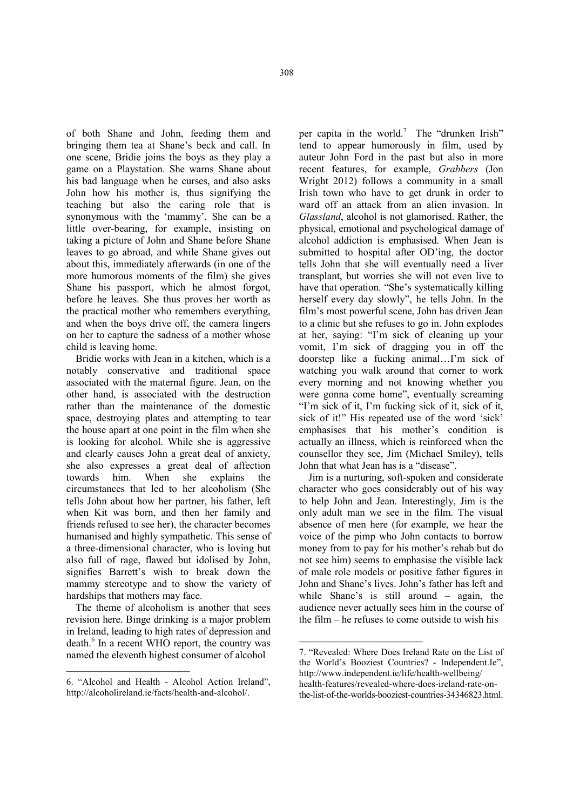of both Shane and John, feeding them and bringing them tea at Shane's beck and call. In one scene, Bridie joins the boys as they play a game on a Playstation. She warns Shane about his bad language when he curses, and also asks John how his mother is, thus signifying the teaching but also the caring role that is synonymous with the 'mammy'. She can be a little over-bearing, for example, insisting on taking a picture of John and Shane before Shane leaves to go abroad, and while Shane gives out about this, immediately afterwards (in one of the more humorous moments of the film) she gives Shane his passport, which he almost forgot, before he leaves. She thus proves her worth as the practical mother who remembers everything, and when the boys drive off, the camera lingers on her to capture the sadness of a mother whose child is leaving home.

Bridie works with Jean in a kitchen, which is a notably conservative and traditional space associated with the maternal figure. Jean, on the other hand, is associated with the destruction rather than the maintenance of the domestic space, destroying plates and attempting to tear the house apart at one point in the film when she is looking for alcohol. While she is aggressive and clearly causes John a great deal of anxiety, she also expresses a great deal of affection towards him. When she explains the circumstances that led to her alcoholism (She tells John about how her partner, his father, left when Kit was born, and then her family and friends refused to see her), the character becomes humanised and highly sympathetic. This sense of a three-dimensional character, who is loving but also full of rage, flawed but idolised by John, signifies Barrett's wish to break down the mammy stereotype and to show the variety of hardships that mothers may face.

The theme of alcoholism is another that sees revision here. Binge drinking is a major problem in Ireland, leading to high rates of depression and death.<sup>6</sup> In a recent WHO report, the country was named the eleventh highest consumer of alcohol

 $\overline{\phantom{a}}$ 

per capita in the world.<sup>7</sup> The "drunken Irish" tend to appear humorously in film, used by auteur John Ford in the past but also in more recent features, for example, *Grabbers* (Jon Wright 2012) follows a community in a small Irish town who have to get drunk in order to ward off an attack from an alien invasion. In *Glassland*, alcohol is not glamorised. Rather, the physical, emotional and psychological damage of alcohol addiction is emphasised. When Jean is submitted to hospital after OD'ing, the doctor tells John that she will eventually need a liver transplant, but worries she will not even live to have that operation. "She's systematically killing herself every day slowly", he tells John. In the film's most powerful scene, John has driven Jean to a clinic but she refuses to go in. John explodes at her, saying: "I'm sick of cleaning up your vomit, I'm sick of dragging you in off the doorstep like a fucking animal…I'm sick of watching you walk around that corner to work every morning and not knowing whether you were gonna come home", eventually screaming "I'm sick of it, I'm fucking sick of it, sick of it, sick of it!" His repeated use of the word 'sick' emphasises that his mother's condition is actually an illness, which is reinforced when the counsellor they see, Jim (Michael Smiley), tells John that what Jean has is a "disease".

Jim is a nurturing, soft-spoken and considerate character who goes considerably out of his way to help John and Jean. Interestingly, Jim is the only adult man we see in the film. The visual absence of men here (for example, we hear the voice of the pimp who John contacts to borrow money from to pay for his mother's rehab but do not see him) seems to emphasise the visible lack of male role models or positive father figures in John and Shane's lives. John's father has left and while Shane's is still around – again, the audience never actually sees him in the course of the film – he refuses to come outside to wish his

 $\overline{\phantom{a}}$  , where  $\overline{\phantom{a}}$  , where  $\overline{\phantom{a}}$  ,  $\overline{\phantom{a}}$  ,  $\overline{\phantom{a}}$  ,  $\overline{\phantom{a}}$  ,  $\overline{\phantom{a}}$  ,  $\overline{\phantom{a}}$  ,  $\overline{\phantom{a}}$  ,  $\overline{\phantom{a}}$  ,  $\overline{\phantom{a}}$  ,  $\overline{\phantom{a}}$  ,  $\overline{\phantom{a}}$  ,  $\overline{\phantom{a}}$  ,  $\overline{\phantom{a}}$  ,

<sup>6. &</sup>quot;Alcohol and Health - Alcohol Action Ireland", http://alcoholireland.ie/facts/health-and-alcohol/.

<sup>7. &</sup>quot;Revealed: Where Does Ireland Rate on the List of the World's Booziest Countries? - Independent.Ie", http://www.independent.ie/life/health-wellbeing/ health-features/revealed-where-does-ireland-rate-onthe-list-of-the-worlds-booziest-countries-34346823.html.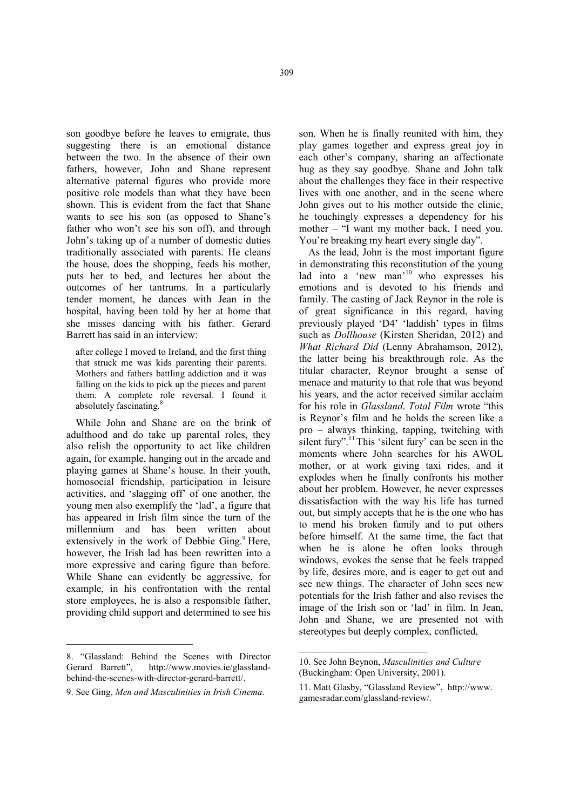son goodbye before he leaves to emigrate, thus suggesting there is an emotional distance between the two. In the absence of their own fathers, however, John and Shane represent alternative paternal figures who provide more positive role models than what they have been shown. This is evident from the fact that Shane wants to see his son (as opposed to Shane's father who won't see his son off), and through John's taking up of a number of domestic duties traditionally associated with parents. He cleans the house, does the shopping, feeds his mother, puts her to bed, and lectures her about the outcomes of her tantrums. In a particularly tender moment, he dances with Jean in the hospital, having been told by her at home that she misses dancing with his father. Gerard Barrett has said in an interview:

after college I moved to Ireland, and the first thing that struck me was kids parenting their parents. Mothers and fathers battling addiction and it was falling on the kids to pick up the pieces and parent them. A complete role reversal. I found it absolutely fascinating.<sup>8</sup>

While John and Shane are on the brink of adulthood and do take up parental roles, they also relish the opportunity to act like children again, for example, hanging out in the arcade and playing games at Shane's house. In their youth, homosocial friendship, participation in leisure activities, and 'slagging off' of one another, the young men also exemplify the 'lad', a figure that has appeared in Irish film since the turn of the millennium and has been written about extensively in the work of Debbie Ging.<sup>9</sup> Here, however, the Irish lad has been rewritten into a more expressive and caring figure than before. While Shane can evidently be aggressive, for example, in his confrontation with the rental store employees, he is also a responsible father, providing child support and determined to see his

\_\_\_\_\_\_\_\_\_\_\_\_\_\_\_\_\_\_\_\_\_\_\_\_\_\_\_

son. When he is finally reunited with him, they play games together and express great joy in each other's company, sharing an affectionate hug as they say goodbye. Shane and John talk about the challenges they face in their respective lives with one another, and in the scene where John gives out to his mother outside the clinic, he touchingly expresses a dependency for his mother – "I want my mother back, I need you. You're breaking my heart every single day".

As the lead, John is the most important figure in demonstrating this reconstitution of the young lad into a 'new man'<sup>10</sup> who expresses his emotions and is devoted to his friends and family. The casting of Jack Reynor in the role is of great significance in this regard, having previously played 'D4' 'laddish' types in films such as *Dollhouse* (Kirsten Sheridan, 2012) and *What Richard Did* (Lenny Abrahamson, 2012), the latter being his breakthrough role. As the titular character, Reynor brought a sense of menace and maturity to that role that was beyond his years, and the actor received similar acclaim for his role in *Glassland*. *Total Film* wrote "this is Reynor's film and he holds the screen like a pro – always thinking, tapping, twitching with silent fury".<sup>11</sup>This 'silent fury' can be seen in the moments where John searches for his AWOL mother, or at work giving taxi rides, and it explodes when he finally confronts his mother about her problem. However, he never expresses dissatisfaction with the way his life has turned out, but simply accepts that he is the one who has to mend his broken family and to put others before himself. At the same time, the fact that when he is alone he often looks through windows, evokes the sense that he feels trapped by life, desires more, and is eager to get out and see new things. The character of John sees new potentials for the Irish father and also revises the image of the Irish son or 'lad' in film. In Jean, John and Shane, we are presented not with stereotypes but deeply complex, conflicted,

 $\overline{\phantom{a}}$  , where  $\overline{\phantom{a}}$ 

<sup>8. &</sup>quot;Glassland: Behind the Scenes with Director Gerard Barrett", http://www.movies.ie/glasslandhttp://www.movies.ie/glasslandbehind-the-scenes-with-director-gerard-barrett/.

<sup>9.</sup> See Ging, *Men and Masculinities in Irish Cinema*.

<sup>10.</sup> See John Beynon, *Masculinities and Culture* (Buckingham: Open University, 2001).

<sup>11.</sup> Matt Glasby, "Glassland Review", http://www. gamesradar.com/glassland-review/.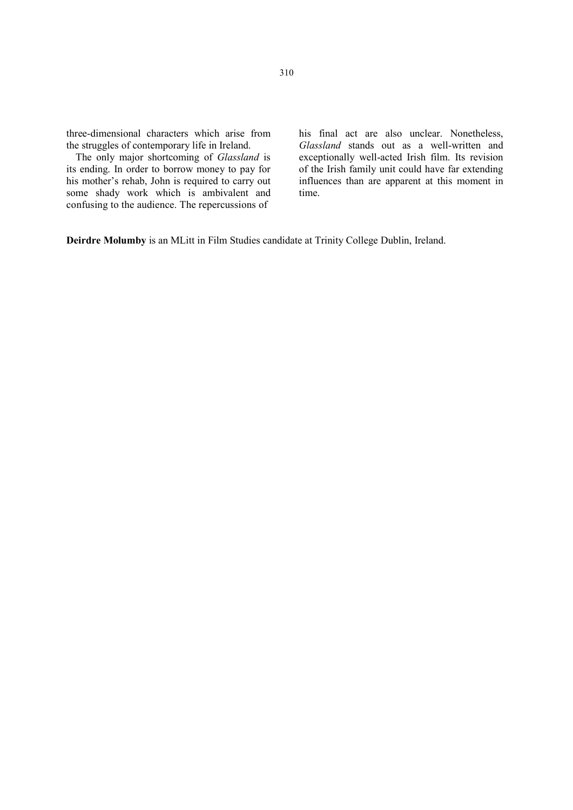three-dimensional characters which arise from the struggles of contemporary life in Ireland.

The only major shortcoming of *Glassland* is its ending. In order to borrow money to pay for his mother's rehab, John is required to carry out some shady work which is ambivalent and confusing to the audience. The repercussions of

his final act are also unclear. Nonetheless, *Glassland* stands out as a well-written and exceptionally well-acted Irish film. Its revision of the Irish family unit could have far extending influences than are apparent at this moment in time.

Deirdre Molumby is an MLitt in Film Studies candidate at Trinity College Dublin, Ireland.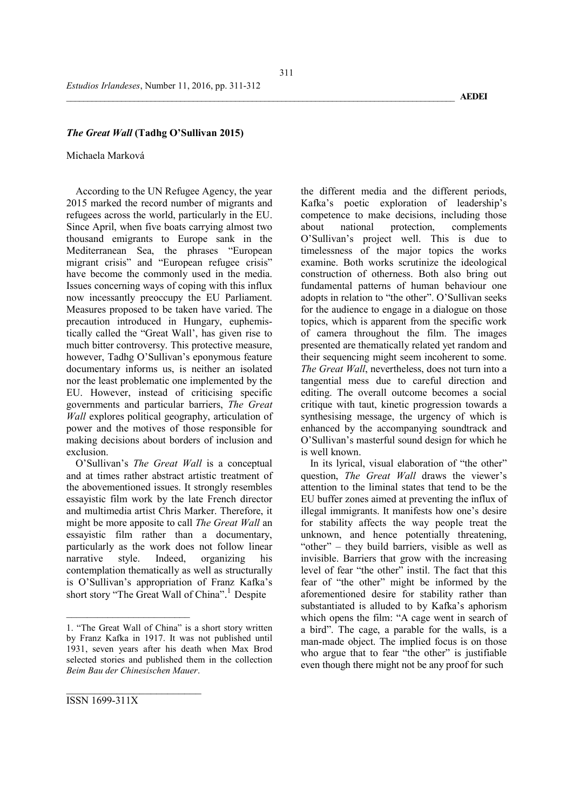## *The Great Wall* (Tadhg O'Sullivan 2015)

#### Michaela Marková

According to the UN Refugee Agency, the year 2015 marked the record number of migrants and refugees across the world, particularly in the EU. Since April, when five boats carrying almost two thousand emigrants to Europe sank in the Mediterranean Sea, the phrases "European migrant crisis" and "European refugee crisis" have become the commonly used in the media. Issues concerning ways of coping with this influx now incessantly preoccupy the EU Parliament. Measures proposed to be taken have varied. The precaution introduced in Hungary, euphemistically called the "Great Wall', has given rise to much bitter controversy. This protective measure, however, Tadhg O'Sullivan's eponymous feature documentary informs us, is neither an isolated nor the least problematic one implemented by the EU. However, instead of criticising specific governments and particular barriers, *The Great Wall* explores political geography, articulation of power and the motives of those responsible for making decisions about borders of inclusion and exclusion.

O'Sullivan's *The Great Wall* is a conceptual and at times rather abstract artistic treatment of the abovementioned issues. It strongly resembles essayistic film work by the late French director and multimedia artist Chris Marker. Therefore, it might be more apposite to call *The Great Wall* an essayistic film rather than a documentary, particularly as the work does not follow linear narrative style. Indeed, organizing his contemplation thematically as well as structurally is O'Sullivan's appropriation of Franz Kafka's short story "The Great Wall of China". 1 Despite

the different media and the different periods, Kafka's poetic exploration of leadership's competence to make decisions, including those about national protection, complements O'Sullivan's project well. This is due to timelessness of the major topics the works examine. Both works scrutinize the ideological construction of otherness. Both also bring out fundamental patterns of human behaviour one adopts in relation to "the other". O'Sullivan seeks for the audience to engage in a dialogue on those topics, which is apparent from the specific work of camera throughout the film. The images presented are thematically related yet random and their sequencing might seem incoherent to some. *The Great Wall*, nevertheless, does not turn into a tangential mess due to careful direction and editing. The overall outcome becomes a social critique with taut, kinetic progression towards a synthesising message, the urgency of which is enhanced by the accompanying soundtrack and O'Sullivan's masterful sound design for which he is well known.

In its lyrical, visual elaboration of "the other" question, *The Great Wall* draws the viewer's attention to the liminal states that tend to be the EU buffer zones aimed at preventing the influx of illegal immigrants. It manifests how one's desire for stability affects the way people treat the unknown, and hence potentially threatening, "other" – they build barriers, visible as well as invisible. Barriers that grow with the increasing level of fear "the other" instil. The fact that this fear of "the other" might be informed by the aforementioned desire for stability rather than substantiated is alluded to by Kafka's aphorism which opens the film: "A cage went in search of a bird". The cage, a parable for the walls, is a man-made object. The implied focus is on those who argue that to fear "the other" is justifiable even though there might not be any proof for such

 $\overline{\phantom{a}}$  , where  $\overline{\phantom{a}}$ 

<sup>1. &</sup>quot;The Great Wall of China" is a short story written by Franz Kafka in 1917. It was not published until 1931, seven years after his death when Max Brod selected stories and published them in the collection *Beim Bau der Chinesischen Mauer*.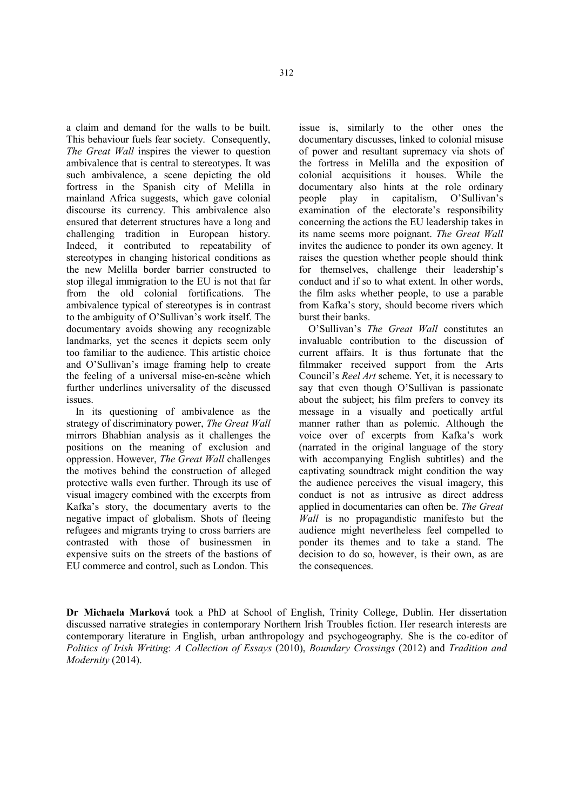a claim and demand for the walls to be built. This behaviour fuels fear society. Consequently, *The Great Wall* inspires the viewer to question ambivalence that is central to stereotypes. It was such ambivalence, a scene depicting the old fortress in the Spanish city of Melilla in mainland Africa suggests, which gave colonial discourse its currency. This ambivalence also ensured that deterrent structures have a long and challenging tradition in European history. Indeed, it contributed to repeatability of stereotypes in changing historical conditions as the new Melilla border barrier constructed to stop illegal immigration to the EU is not that far<br>from the old colonial fortifications The from the old colonial fortifications. ambivalence typical of stereotypes is in contrast to the ambiguity of O'Sullivan's work itself. The documentary avoids showing any recognizable landmarks, yet the scenes it depicts seem only too familiar to the audience. This artistic choice and O'Sullivan's image framing help to create the feeling of a universal mise-en-scène which further underlines universality of the discussed issues.

In its questioning of ambivalence as the strategy of discriminatory power, *The Great Wall* mirrors Bhabhian analysis as it challenges the positions on the meaning of exclusion and oppression. However, *The Great Wall* challenges the motives behind the construction of alleged protective walls even further. Through its use of visual imagery combined with the excerpts from Kafka's story, the documentary averts to the negative impact of globalism. Shots of fleeing refugees and migrants trying to cross barriers are contrasted with those of businessmen in expensive suits on the streets of the bastions of EU commerce and control, such as London. This

issue is, similarly to the other ones the documentary discusses, linked to colonial misuse of power and resultant supremacy via shots of the fortress in Melilla and the exposition of colonial acquisitions it houses. While the documentary also hints at the role ordinary people play in capitalism, O'Sullivan's examination of the electorate's responsibility concerning the actions the EU leadership takes in its name seems more poignant. *The Great Wall* invites the audience to ponder its own agency. It raises the question whether people should think for themselves, challenge their leadership's conduct and if so to what extent. In other words, the film asks whether people, to use a parable from Kafka's story, should become rivers which burst their banks.

O'Sullivan's *The Great Wall* constitutes an invaluable contribution to the discussion of current affairs. It is thus fortunate that the filmmaker received support from the Arts Council's *Reel Art* scheme. Yet, it is necessary to say that even though O'Sullivan is passionate about the subject; his film prefers to convey its message in a visually and poetically artful manner rather than as polemic. Although the voice over of excerpts from Kafka's work (narrated in the original language of the story with accompanying English subtitles) and the captivating soundtrack might condition the way the audience perceives the visual imagery, this conduct is not as intrusive as direct address applied in documentaries can often be. *The Great Wall* is no propagandistic manifesto but the audience might nevertheless feel compelled to ponder its themes and to take a stand. The decision to do so, however, is their own, as are the consequences.

Dr Michaela Marková took a PhD at School of English, Trinity College, Dublin. Her dissertation discussed narrative strategies in contemporary Northern Irish Troubles fiction. Her research interests are contemporary literature in English, urban anthropology and psychogeography. She is the co-editor of *Politics of Irish Writing*: *A Collection of Essays* (2010), *Boundary Crossings* (2012) and *Tradition and Modernity* (2014).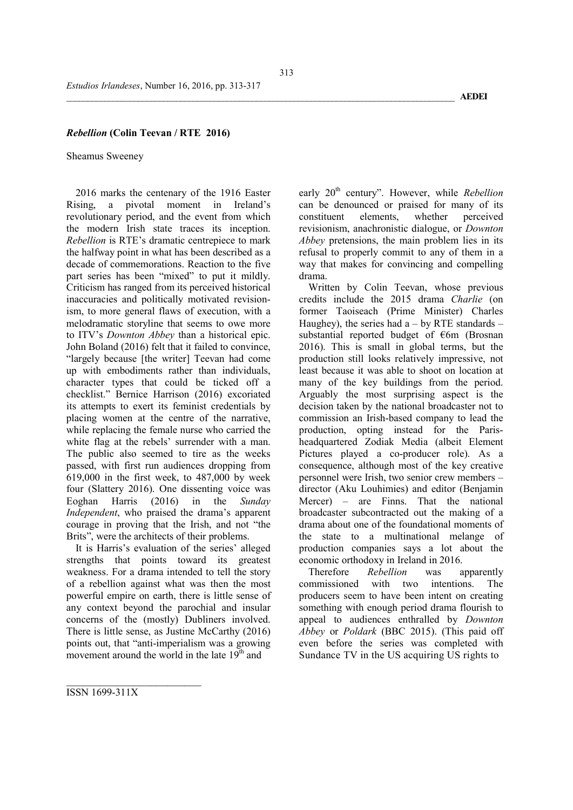## *Rebellion* (Colin Teevan / RTE 2016)

#### Sheamus Sweeney

2016 marks the centenary of the 1916 Easter Rising, a pivotal moment in Ireland's revolutionary period, and the event from which the modern Irish state traces its inception. *Rebellion* is RTE's dramatic centrepiece to mark the halfway point in what has been described as a decade of commemorations. Reaction to the five part series has been "mixed" to put it mildly. Criticism has ranged from its perceived historical inaccuracies and politically motivated revisionism, to more general flaws of execution, with a melodramatic storyline that seems to owe more to ITV's *Downton Abbey* than a historical epic. John Boland (2016) felt that it failed to convince, "largely because [the writer] Teevan had come up with embodiments rather than individuals, character types that could be ticked off a checklist." Bernice Harrison (2016) excoriated its attempts to exert its feminist credentials by placing women at the centre of the narrative, while replacing the female nurse who carried the white flag at the rebels' surrender with a man. The public also seemed to tire as the weeks passed, with first run audiences dropping from 619,000 in the first week, to 487,000 by week four (Slattery 2016). One dissenting voice was<br>Eoghan Harris (2016) in the Sunday in the *Sunday Independent*, who praised the drama's apparent courage in proving that the Irish, and not "the Brits", were the architects of their problems.

It is Harris's evaluation of the series' alleged strengths that points toward its greatest weakness. For a drama intended to tell the story of a rebellion against what was then the most powerful empire on earth, there is little sense of any context beyond the parochial and insular concerns of the (mostly) Dubliners involved. There is little sense, as Justine McCarthy (2016) points out, that "anti-imperialism was a growing movement around the world in the late  $19<sup>th</sup>$  and

early 20<sup>th</sup> century". However, while *Rebellion* can be denounced or praised for many of its<br>constituent elements. whether perceived constituent revisionism, anachronistic dialogue, or *Downton Abbey* pretensions, the main problem lies in its refusal to properly commit to any of them in a way that makes for convincing and compelling drama.

Written by Colin Teevan, whose previous credits include the 2015 drama *Charlie* (on former Taoiseach (Prime Minister) Charles Haughey), the series had  $a - by RTE$  standards – substantial reported budget of €6m (Brosnan 2016). This is small in global terms, but the production still looks relatively impressive, not least because it was able to shoot on location at many of the key buildings from the period. Arguably the most surprising aspect is the decision taken by the national broadcaster not to commission an Irish-based company to lead the production, opting instead for the Parisheadquartered Zodiak Media (albeit Element Pictures played a co-producer role). As a consequence, although most of the key creative personnel were Irish, two senior crew members – director (Aku Louhimies) and editor (Benjamin Mercer) – are Finns. That the national broadcaster subcontracted out the making of a drama about one of the foundational moments of the state to a multinational melange of production companies says a lot about the economic orthodoxy in Ireland in 2016.

Therefore *Rebellion* was apparently<br>munissioned with two intentions The commissioned with two intentions. The producers seem to have been intent on creating something with enough period drama flourish to appeal to audiences enthralled by *Downton Abbey* or *Poldark* (BBC 2015). (This paid off even before the series was completed with Sundance TV in the US acquiring US rights to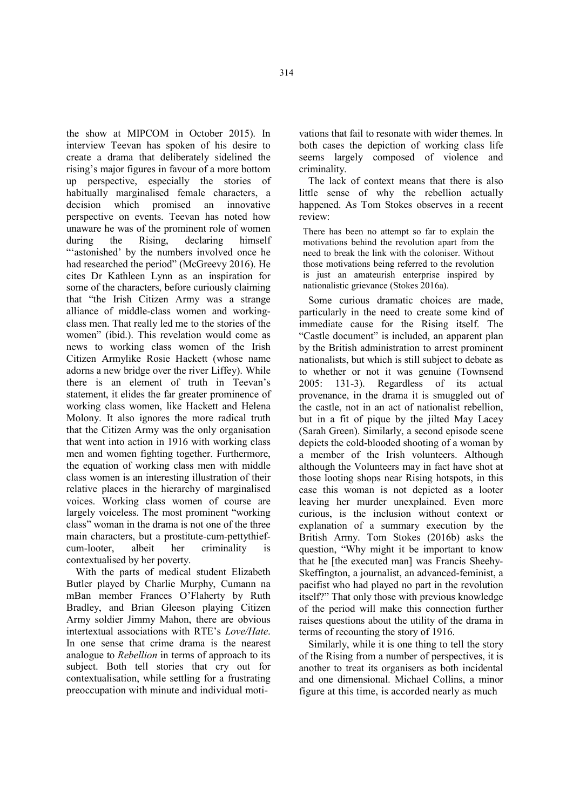the show at MIPCOM in October 2015). In interview Teevan has spoken of his desire to create a drama that deliberately sidelined the rising's major figures in favour of a more bottom up perspective, especially the stories of habitually marginalised female characters, a decision which promised an innovative perspective on events. Teevan has noted how unaware he was of the prominent role of women during the Rising, declaring himself "'astonished' by the numbers involved once he had researched the period" (McGreevy 2016). He cites Dr Kathleen Lynn as an inspiration for some of the characters, before curiously claiming that "the Irish Citizen Army was a strange alliance of middle-class women and workingclass men. That really led me to the stories of the women" (ibid.). This revelation would come as news to working class women of the Irish Citizen Armylike Rosie Hackett (whose name adorns a new bridge over the river Liffey). While there is an element of truth in Teevan's statement, it elides the far greater prominence of working class women, like Hackett and Helena Molony. It also ignores the more radical truth that the Citizen Army was the only organisation that went into action in 1916 with working class men and women fighting together. Furthermore, the equation of working class men with middle class women is an interesting illustration of their relative places in the hierarchy of marginalised voices. Working class women of course are largely voiceless. The most prominent "working class" woman in the drama is not one of the three main characters, but a prostitute-cum-pettythiefcum-looter, albeit her criminality is contextualised by her poverty.

With the parts of medical student Elizabeth Butler played by Charlie Murphy, Cumann na mBan member Frances O'Flaherty by Ruth Bradley, and Brian Gleeson playing Citizen Army soldier Jimmy Mahon, there are obvious intertextual associations with RTE's *Love/Hate*. In one sense that crime drama is the nearest analogue to *Rebellion* in terms of approach to its subject. Both tell stories that cry out for contextualisation, while settling for a frustrating preoccupation with minute and individual moti-

vations that fail to resonate with wider themes. In both cases the depiction of working class life seems largely composed of violence and criminality.

The lack of context means that there is also little sense of why the rebellion actually happened. As Tom Stokes observes in a recent review:

There has been no attempt so far to explain the motivations behind the revolution apart from the need to break the link with the coloniser. Without those motivations being referred to the revolution is just an amateurish enterprise inspired by nationalistic grievance (Stokes 2016a).

Some curious dramatic choices are made, particularly in the need to create some kind of immediate cause for the Rising itself. The "Castle document" is included, an apparent plan by the British administration to arrest prominent nationalists, but which is still subject to debate as to whether or not it was genuine (Townsend 2005: 131-3). Regardless of its actual provenance, in the drama it is smuggled out of the castle, not in an act of nationalist rebellion, but in a fit of pique by the jilted May Lacey (Sarah Green). Similarly, a second episode scene depicts the cold-blooded shooting of a woman by a member of the Irish volunteers. Although although the Volunteers may in fact have shot at those looting shops near Rising hotspots, in this case this woman is not depicted as a looter leaving her murder unexplained. Even more curious, is the inclusion without context or explanation of a summary execution by the British Army. Tom Stokes (2016b) asks the question, "Why might it be important to know that he [the executed man] was Francis Sheehy-Skeffington, a journalist, an advanced-feminist, a pacifist who had played no part in the revolution itself?" That only those with previous knowledge of the period will make this connection further raises questions about the utility of the drama in terms of recounting the story of 1916.

Similarly, while it is one thing to tell the story of the Rising from a number of perspectives, it is another to treat its organisers as both incidental and one dimensional. Michael Collins, a minor figure at this time, is accorded nearly as much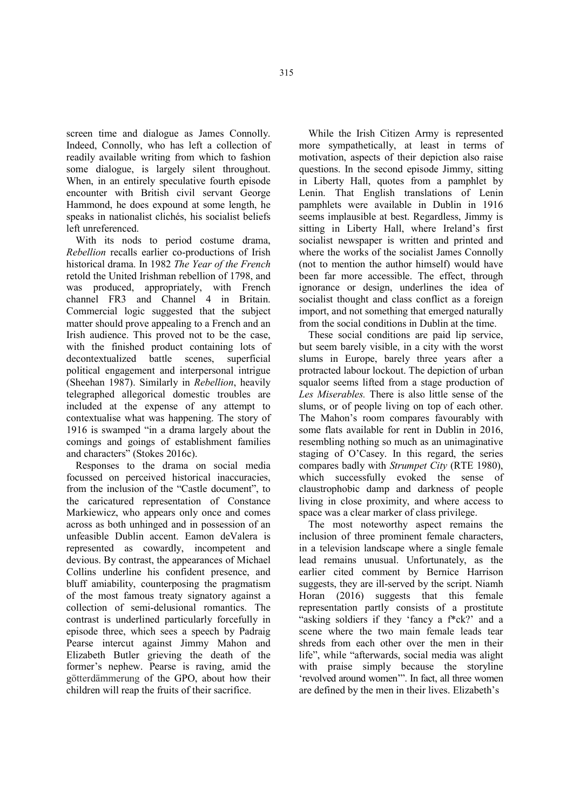screen time and dialogue as James Connolly. Indeed, Connolly, who has left a collection of readily available writing from which to fashion some dialogue, is largely silent throughout. When, in an entirely speculative fourth episode encounter with British civil servant George Hammond, he does expound at some length, he speaks in nationalist clichés, his socialist beliefs left unreferenced.

With its nods to period costume drama, *Rebellion* recalls earlier co-productions of Irish historical drama. In 1982 *The Year of the French*  retold the United Irishman rebellion of 1798, and was produced, appropriately, with French channel FR3 and Channel 4 in Britain. Commercial logic suggested that the subject matter should prove appealing to a French and an Irish audience. This proved not to be the case, with the finished product containing lots of decontextualized battle scenes, superficial political engagement and interpersonal intrigue (Sheehan 1987). Similarly in *Rebellion*, heavily telegraphed allegorical domestic troubles are included at the expense of any attempt to contextualise what was happening. The story of 1916 is swamped "in a drama largely about the comings and goings of establishment families and characters" (Stokes 2016c).

Responses to the drama on social media focussed on perceived historical inaccuracies, from the inclusion of the "Castle document", to the caricatured representation of Constance Markiewicz, who appears only once and comes across as both unhinged and in possession of an unfeasible Dublin accent. Eamon deValera is represented as cowardly, incompetent and devious. By contrast, the appearances of Michael Collins underline his confident presence, and bluff amiability, counterposing the pragmatism of the most famous treaty signatory against a collection of semi-delusional romantics. The contrast is underlined particularly forcefully in episode three, which sees a speech by Padraig Pearse intercut against Jimmy Mahon and Elizabeth Butler grieving the death of the former's nephew. Pearse is raving, amid the götterdämmerung of the GPO, about how their children will reap the fruits of their sacrifice.

While the Irish Citizen Army is represented more sympathetically, at least in terms of motivation, aspects of their depiction also raise questions. In the second episode Jimmy, sitting in Liberty Hall, quotes from a pamphlet by Lenin. That English translations of Lenin pamphlets were available in Dublin in 1916 seems implausible at best. Regardless, Jimmy is sitting in Liberty Hall, where Ireland's first socialist newspaper is written and printed and where the works of the socialist James Connolly (not to mention the author himself) would have been far more accessible. The effect, through ignorance or design, underlines the idea of socialist thought and class conflict as a foreign import, and not something that emerged naturally from the social conditions in Dublin at the time.

These social conditions are paid lip service, but seem barely visible, in a city with the worst slums in Europe, barely three years after a protracted labour lockout. The depiction of urban squalor seems lifted from a stage production of *Les Miserables.* There is also little sense of the slums, or of people living on top of each other. The Mahon's room compares favourably with some flats available for rent in Dublin in 2016, resembling nothing so much as an unimaginative staging of O'Casey. In this regard, the series compares badly with *Strumpet City* (RTE 1980), which successfully evoked the sense of claustrophobic damp and darkness of people living in close proximity, and where access to space was a clear marker of class privilege.

The most noteworthy aspect remains the inclusion of three prominent female characters, in a television landscape where a single female lead remains unusual. Unfortunately, as the earlier cited comment by Bernice Harrison suggests, they are ill-served by the script. Niamh Horan (2016) suggests that this female representation partly consists of a prostitute "asking soldiers if they 'fancy a f\*ck?' and a scene where the two main female leads tear shreds from each other over the men in their life", while "afterwards, social media was alight with praise simply because the storyline 'revolved around women'". In fact, all three women are defined by the men in their lives. Elizabeth's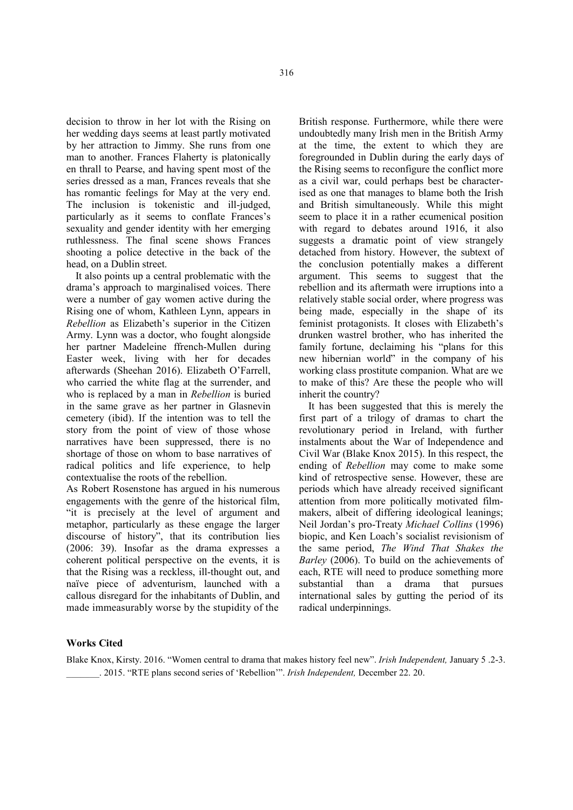decision to throw in her lot with the Rising on her wedding days seems at least partly motivated by her attraction to Jimmy. She runs from one man to another. Frances Flaherty is platonically en thrall to Pearse, and having spent most of the series dressed as a man, Frances reveals that she has romantic feelings for May at the very end. The inclusion is tokenistic and ill-judged, particularly as it seems to conflate Frances's sexuality and gender identity with her emerging ruthlessness. The final scene shows Frances shooting a police detective in the back of the head, on a Dublin street.

It also points up a central problematic with the drama's approach to marginalised voices. There were a number of gay women active during the Rising one of whom, Kathleen Lynn, appears in *Rebellion* as Elizabeth's superior in the Citizen Army. Lynn was a doctor, who fought alongside her partner Madeleine ffrench-Mullen during Easter week, living with her for decades afterwards (Sheehan 2016). Elizabeth O'Farrell, who carried the white flag at the surrender, and who is replaced by a man in *Rebellion* is buried in the same grave as her partner in Glasnevin cemetery (ibid). If the intention was to tell the story from the point of view of those whose narratives have been suppressed, there is no shortage of those on whom to base narratives of radical politics and life experience, to help contextualise the roots of the rebellion.

As Robert Rosenstone has argued in his numerous engagements with the genre of the historical film, "it is precisely at the level of argument and metaphor, particularly as these engage the larger discourse of history", that its contribution lies (2006: 39). Insofar as the drama expresses a coherent political perspective on the events, it is that the Rising was a reckless, ill-thought out, and naïve piece of adventurism, launched with a callous disregard for the inhabitants of Dublin, and made immeasurably worse by the stupidity of the

British response. Furthermore, while there were undoubtedly many Irish men in the British Army at the time, the extent to which they are foregrounded in Dublin during the early days of the Rising seems to reconfigure the conflict more as a civil war, could perhaps best be characterised as one that manages to blame both the Irish and British simultaneously. While this might seem to place it in a rather ecumenical position with regard to debates around 1916, it also suggests a dramatic point of view strangely detached from history. However, the subtext of the conclusion potentially makes a different argument. This seems to suggest that the rebellion and its aftermath were irruptions into a relatively stable social order, where progress was being made, especially in the shape of its feminist protagonists. It closes with Elizabeth's drunken wastrel brother, who has inherited the family fortune, declaiming his "plans for this new hibernian world" in the company of his working class prostitute companion. What are we to make of this? Are these the people who will inherit the country?

It has been suggested that this is merely the first part of a trilogy of dramas to chart the revolutionary period in Ireland, with further instalments about the War of Independence and Civil War (Blake Knox 2015). In this respect, the ending of *Rebellion* may come to make some kind of retrospective sense. However, these are periods which have already received significant attention from more politically motivated filmmakers, albeit of differing ideological leanings; Neil Jordan's pro-Treaty *Michael Collins* (1996) biopic, and Ken Loach's socialist revisionism of the same period, *The Wind That Shakes the Barley* (2006). To build on the achievements of each, RTE will need to produce something more substantial than a drama that pursues international sales by gutting the period of its radical underpinnings.

## Works Cited

Blake Knox, Kirsty. 2016. "Women central to drama that makes history feel new". *Irish Independent,* January 5 .2-3. \_\_\_\_\_\_\_. 2015. "RTE plans second series of 'Rebellion'". *Irish Independent,* December 22. 20.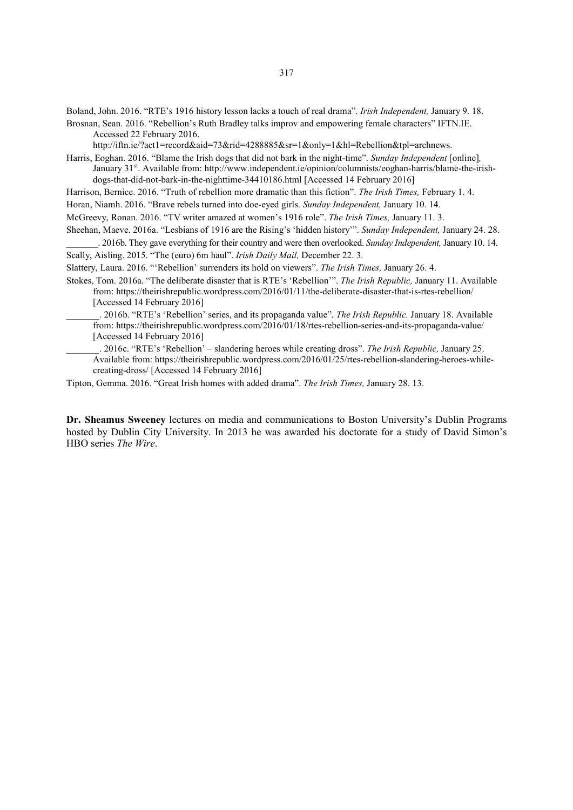Boland, John. 2016. "RTE's 1916 history lesson lacks a touch of real drama". *Irish Independent,* January 9. 18.

Brosnan, Sean. 2016. "Rebellion's Ruth Bradley talks improv and empowering female characters" IFTN.IE. Accessed 22 February 2016.

http://iftn.ie/?act1=record&aid=73&rid=4288885&sr=1&only=1&hl=Rebellion&tpl=archnews.

Harris, Eoghan. 2016. "Blame the Irish dogs that did not bark in the night-time". *Sunday Independent* [online]*,*  January 31st. Available from: http://www.independent.ie/opinion/columnists/eoghan-harris/blame-the-irishdogs-that-did-not-bark-in-the-nighttime-34410186.html [Accessed 14 February 2016]

Harrison, Bernice. 2016. "Truth of rebellion more dramatic than this fiction". *The Irish Times,* February 1. 4.

Horan, Niamh. 2016. "Brave rebels turned into doe-eyed girls. *Sunday Independent,* January 10. 14.

McGreevy, Ronan. 2016. "TV writer amazed at women's 1916 role". *The Irish Times,* January 11. 3.

Sheehan, Maeve. 2016a. "Lesbians of 1916 are the Rising's 'hidden history'". *Sunday Independent,* January 24. 28.

\_\_\_\_\_\_\_. 2016b. They gave everything for their country and were then overlooked. *Sunday Independent,* January 10. 14.

Scally, Aisling. 2015. "The (euro) 6m haul". *Irish Daily Mail,* December 22. 3.

Slattery, Laura. 2016. "'Rebellion' surrenders its hold on viewers". *The Irish Times,* January 26. 4.

Stokes, Tom. 2016a. "The deliberate disaster that is RTE's 'Rebellion'". *The Irish Republic,* January 11. Available from: https://theirishrepublic.wordpress.com/2016/01/11/the-deliberate-disaster-that-is-rtes-rebellion/ [Accessed 14 February 2016]

\_\_\_\_\_\_\_. 2016b. "RTE's 'Rebellion' series, and its propaganda value". *The Irish Republic.* January 18. Available from: https://theirishrepublic.wordpress.com/2016/01/18/rtes-rebellion-series-and-its-propaganda-value/ [Accessed 14 February 2016]

\_\_\_\_\_\_\_. 2016c. "RTE's 'Rebellion' – slandering heroes while creating dross". *The Irish Republic,* January 25. Available from: https://theirishrepublic.wordpress.com/2016/01/25/rtes-rebellion-slandering-heroes-whilecreating-dross/ [Accessed 14 February 2016]

Tipton, Gemma. 2016. "Great Irish homes with added drama". *The Irish Times,* January 28. 13.

Dr. Sheamus Sweeney lectures on media and communications to Boston University's Dublin Programs hosted by Dublin City University. In 2013 he was awarded his doctorate for a study of David Simon's HBO series *The Wire*.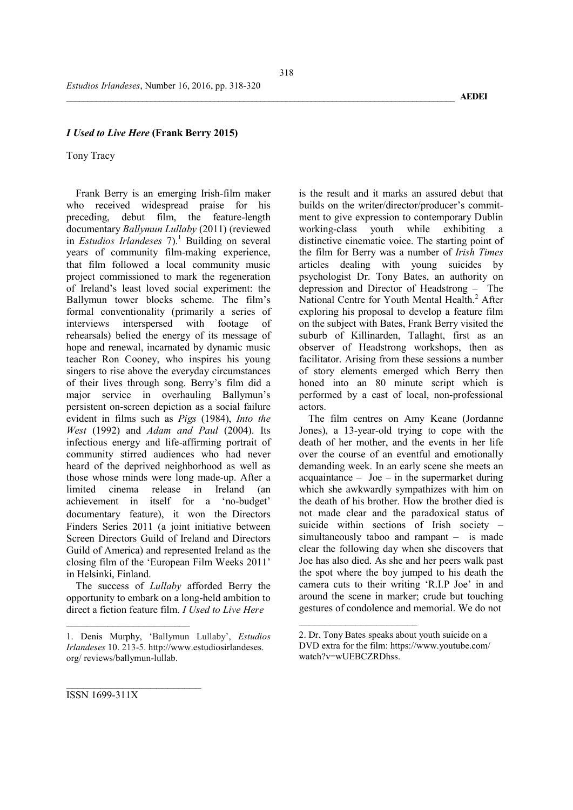## *I Used to Live Here* (Frank Berry 2015)

#### Tony Tracy

Frank Berry is an emerging Irish-film maker who received widespread praise for his preceding, debut film, the feature-length documentary *Ballymun Lullaby* (2011) (reviewed in *Estudios Irlandeses*  $7$ ).<sup>1</sup> Building on several years of community film-making experience, that film followed a local community music project commissioned to mark the regeneration of Ireland's least loved social experiment: the Ballymun tower blocks scheme. The film's formal conventionality (primarily a series of interviews interspersed with footage of rehearsals) belied the energy of its message of hope and renewal, incarnated by dynamic music teacher Ron Cooney, who inspires his young singers to rise above the everyday circumstances of their lives through song. Berry's film did a major service in overhauling Ballymun's persistent on-screen depiction as a social failure evident in films such as *Pigs* (1984), *Into the West* (1992) and *Adam and Paul* (2004). Its infectious energy and life-affirming portrait of community stirred audiences who had never heard of the deprived neighborhood as well as those whose minds were long made-up. After a limited cinema release in Ireland (an achievement in itself for a 'no-budget' documentary feature), it won the Directors Finders Series 2011 (a joint initiative between Screen Directors Guild of Ireland and Directors Guild of America) and represented Ireland as the closing film of the 'European Film Weeks 2011' in Helsinki, Finland.

The success of *Lullaby* afforded Berry the opportunity to embark on a long-held ambition to direct a fiction feature film. *I Used to Live Here* 

is the result and it marks an assured debut that builds on the writer/director/producer's commitment to give expression to contemporary Dublin working-class youth while exhibiting a distinctive cinematic voice. The starting point of the film for Berry was a number of *Irish Times* articles dealing with young suicides by psychologist Dr. Tony Bates, an authority on depression and Director of Headstrong – The National Centre for Youth Mental Health.<sup>2</sup> After exploring his proposal to develop a feature film on the subject with Bates, Frank Berry visited the suburb of Killinarden, Tallaght, first as an observer of Headstrong workshops, then as facilitator. Arising from these sessions a number of story elements emerged which Berry then honed into an 80 minute script which is performed by a cast of local, non-professional actors.

The film centres on Amy Keane (Jordanne Jones), a 13-year-old trying to cope with the death of her mother, and the events in her life over the course of an eventful and emotionally demanding week. In an early scene she meets an  $acquaintance - Joe - in the supermarket during$ which she awkwardly sympathizes with him on the death of his brother. How the brother died is not made clear and the paradoxical status of suicide within sections of Irish society – simultaneously taboo and rampant – is made clear the following day when she discovers that Joe has also died. As she and her peers walk past the spot where the boy jumped to his death the camera cuts to their writing 'R.I.P Joe' in and around the scene in marker; crude but touching gestures of condolence and memorial. We do not

 $\overline{\phantom{a}}$ 

\_\_\_\_\_\_\_\_\_\_\_\_\_\_\_\_\_\_\_\_\_\_\_\_ ISSN 1699-311X

<sup>1.</sup> Denis Murphy, 'Ballymun Lullaby', *Estudios Irlandeses* 10. 213-5. http://www.estudiosirlandeses. org/ reviews/ballymun-lullab.

<sup>2.</sup> Dr. Tony Bates speaks about youth suicide on a DVD extra for the film: https://www.youtube.com/ watch?v=wUEBCZRDhss.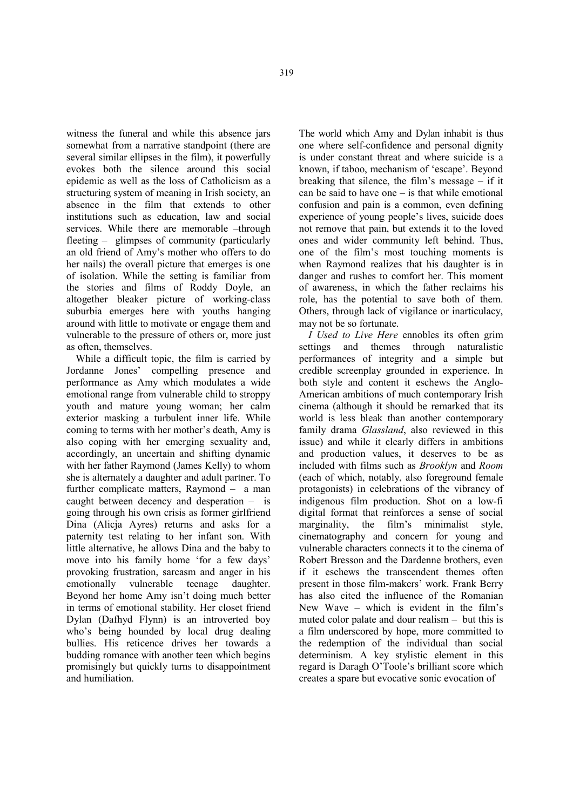witness the funeral and while this absence jars somewhat from a narrative standpoint (there are several similar ellipses in the film), it powerfully evokes both the silence around this social epidemic as well as the loss of Catholicism as a structuring system of meaning in Irish society, an absence in the film that extends to other institutions such as education, law and social services. While there are memorable –through fleeting – glimpses of community (particularly an old friend of Amy's mother who offers to do her nails) the overall picture that emerges is one of isolation. While the setting is familiar from the stories and films of Roddy Doyle, an altogether bleaker picture of working-class suburbia emerges here with youths hanging around with little to motivate or engage them and vulnerable to the pressure of others or, more just as often, themselves.

While a difficult topic, the film is carried by Jordanne Jones' compelling presence and performance as Amy which modulates a wide emotional range from vulnerable child to stroppy youth and mature young woman; her calm exterior masking a turbulent inner life. While coming to terms with her mother's death, Amy is also coping with her emerging sexuality and, accordingly, an uncertain and shifting dynamic with her father Raymond (James Kelly) to whom she is alternately a daughter and adult partner. To further complicate matters, Raymond – a man caught between decency and desperation – is going through his own crisis as former girlfriend Dina (Alicja Ayres) returns and asks for a paternity test relating to her infant son. With little alternative, he allows Dina and the baby to move into his family home 'for a few days' provoking frustration, sarcasm and anger in his<br>emotionally vulnerable teenage daughter. emotionally vulnerable teenage daughter. Beyond her home Amy isn't doing much better in terms of emotional stability. Her closet friend Dylan (Dafhyd Flynn) is an introverted boy who's being hounded by local drug dealing bullies. His reticence drives her towards a budding romance with another teen which begins promisingly but quickly turns to disappointment and humiliation.

The world which Amy and Dylan inhabit is thus one where self-confidence and personal dignity is under constant threat and where suicide is a known, if taboo, mechanism of 'escape'. Beyond breaking that silence, the film's message – if it can be said to have one – is that while emotional confusion and pain is a common, even defining experience of young people's lives, suicide does not remove that pain, but extends it to the loved ones and wider community left behind. Thus, one of the film's most touching moments is when Raymond realizes that his daughter is in danger and rushes to comfort her. This moment of awareness, in which the father reclaims his role, has the potential to save both of them. Others, through lack of vigilance or inarticulacy, may not be so fortunate.

*I Used to Live Here* ennobles its often grim settings and themes through naturalistic performances of integrity and a simple but credible screenplay grounded in experience. In both style and content it eschews the Anglo-American ambitions of much contemporary Irish cinema (although it should be remarked that its world is less bleak than another contemporary family drama *Glassland*, also reviewed in this issue) and while it clearly differs in ambitions and production values, it deserves to be as included with films such as *Brooklyn* and *Room* (each of which, notably, also foreground female protagonists) in celebrations of the vibrancy of indigenous film production. Shot on a low-fi digital format that reinforces a sense of social marginality, the film's minimalist style, cinematography and concern for young and vulnerable characters connects it to the cinema of Robert Bresson and the Dardenne brothers, even if it eschews the transcendent themes often present in those film-makers' work. Frank Berry has also cited the influence of the Romanian New Wave – which is evident in the film's muted color palate and dour realism – but this is a film underscored by hope, more committed to the redemption of the individual than social determinism. A key stylistic element in this regard is Daragh O'Toole's brilliant score which creates a spare but evocative sonic evocation of